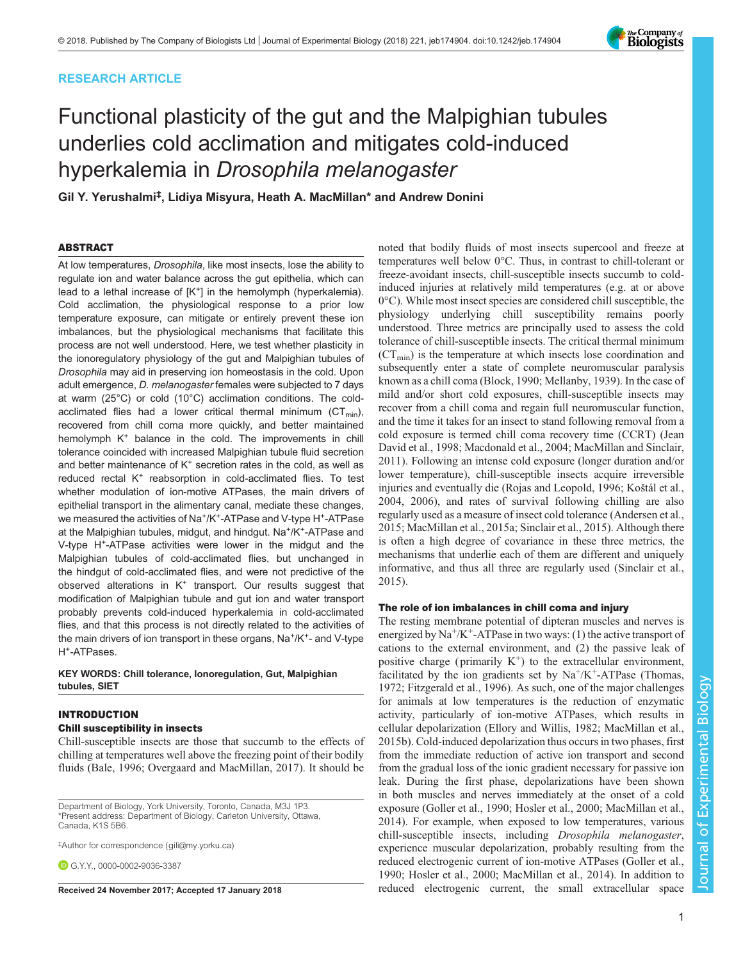# RESEARCH ARTICLE

# Functional plasticity of the gut and the Malpighian tubules underlies cold acclimation and mitigates cold-induced hyperkalemia in Drosophila melanogaster

Gil Y. Yerushalmi‡ , Lidiya Misyura, Heath A. MacMillan\* and Andrew Donini

## ABSTRACT

At low temperatures, Drosophila, like most insects, lose the ability to regulate ion and water balance across the gut epithelia, which can lead to a lethal increase of  $[K^+]$  in the hemolymph (hyperkalemia). Cold acclimation, the physiological response to a prior low temperature exposure, can mitigate or entirely prevent these ion imbalances, but the physiological mechanisms that facilitate this process are not well understood. Here, we test whether plasticity in the ionoregulatory physiology of the gut and Malpighian tubules of Drosophila may aid in preserving ion homeostasis in the cold. Upon adult emergence, D. melanogaster females were subjected to 7 days at warm (25°C) or cold (10°C) acclimation conditions. The coldacclimated flies had a lower critical thermal minimum ( $CT_{min}$ ), recovered from chill coma more quickly, and better maintained hemolymph K<sup>+</sup> balance in the cold. The improvements in chill tolerance coincided with increased Malpighian tubule fluid secretion and better maintenance of  $K^+$  secretion rates in the cold, as well as reduced rectal K<sup>+</sup> reabsorption in cold-acclimated flies. To test whether modulation of ion-motive ATPases, the main drivers of epithelial transport in the alimentary canal, mediate these changes, we measured the activities of Na<sup>+</sup>/K<sup>+</sup>-ATPase and V-type H<sup>+</sup>-ATPase at the Malpighian tubules, midgut, and hindgut. Na<sup>+</sup>/K<sup>+</sup>-ATPase and V-type H<sup>+</sup>-ATPase activities were lower in the midgut and the Malpighian tubules of cold-acclimated flies, but unchanged in the hindgut of cold-acclimated flies, and were not predictive of the observed alterations in K<sup>+</sup> transport. Our results suggest that modification of Malpighian tubule and gut ion and water transport probably prevents cold-induced hyperkalemia in cold-acclimated flies, and that this process is not directly related to the activities of the main drivers of ion transport in these organs, Na<sup>+</sup>/K<sup>+</sup>- and V-type H<sup>+</sup>-ATPases.

## KEY WORDS: Chill tolerance, Ionoregulation, Gut, Malpighian tubules, SIET

## INTRODUCTION

# Chill susceptibility in insects

Chill-susceptible insects are those that succumb to the effects of chilling at temperatures well above the freezing point of their bodily fluids [\(Bale, 1996;](#page-11-0) [Overgaard and MacMillan, 2017](#page-12-0)). It should be

Department of Biology, York University, Toronto, Canada, M3J 1P3. \*Present address: Department of Biology, Carleton University, Ottawa, Canada, K1S 5B6.

‡ Author for correspondence ([gili@my.yorku.ca\)](mailto:gili@my.yorku.ca)

G.Y.Y., [0000-0002-9036-3387](http://orcid.org/0000-0002-9036-3387)

noted that bodily fluids of most insects supercool and freeze at temperatures well below 0°C. Thus, in contrast to chill-tolerant or freeze-avoidant insects, chill-susceptible insects succumb to coldinduced injuries at relatively mild temperatures (e.g. at or above 0°C). While most insect species are considered chill susceptible, the physiology underlying chill susceptibility remains poorly understood. Three metrics are principally used to assess the cold tolerance of chill-susceptible insects. The critical thermal minimum  $(CT_{min})$  is the temperature at which insects lose coordination and subsequently enter a state of complete neuromuscular paralysis known as a chill coma ([Block, 1990](#page-11-0); [Mellanby, 1939\)](#page-11-0). In the case of mild and/or short cold exposures, chill-susceptible insects may recover from a chill coma and regain full neuromuscular function, and the time it takes for an insect to stand following removal from a cold exposure is termed chill coma recovery time (CCRT) [\(Jean](#page-11-0) [David et al., 1998](#page-11-0); [Macdonald et al., 2004; MacMillan and Sinclair,](#page-11-0) [2011\)](#page-11-0). Following an intense cold exposure (longer duration and/or lower temperature), chill-susceptible insects acquire irreversible injuries and eventually die ([Rojas and Leopold, 1996;](#page-12-0) Koš[tál et al.,](#page-11-0) [2004, 2006\)](#page-11-0), and rates of survival following chilling are also regularly used as a measure of insect cold tolerance ([Andersen et al.,](#page-11-0) [2015; MacMillan et al., 2015a](#page-11-0); [Sinclair et al., 2015](#page-12-0)). Although there is often a high degree of covariance in these three metrics, the mechanisms that underlie each of them are different and uniquely informative, and thus all three are regularly used ([Sinclair et al.,](#page-12-0) [2015\)](#page-12-0).

## The role of ion imbalances in chill coma and injury

The resting membrane potential of dipteran muscles and nerves is energized by  $\text{Na}^+\text{/K}^+$ -ATPase in two ways: (1) the active transport of cations to the external environment, and (2) the passive leak of positive charge (primarily  $K^+$ ) to the extracellular environment, facilitated by the ion gradients set by  $Na^+/K^+$ -ATPase [\(Thomas,](#page-12-0) [1972;](#page-12-0) [Fitzgerald et al., 1996\)](#page-11-0). As such, one of the major challenges for animals at low temperatures is the reduction of enzymatic activity, particularly of ion-motive ATPases, which results in cellular depolarization ([Ellory and Willis, 1982; MacMillan et al.,](#page-11-0) [2015b\)](#page-11-0). Cold-induced depolarization thus occurs in two phases, first from the immediate reduction of active ion transport and second from the gradual loss of the ionic gradient necessary for passive ion leak. During the first phase, depolarizations have been shown in both muscles and nerves immediately at the onset of a cold exposure (Goller et al., 1990; [Hosler et al., 2000](#page-11-0); [MacMillan et al.,](#page-11-0) [2014\)](#page-11-0). For example, when exposed to low temperatures, various chill-susceptible insects, including Drosophila melanogaster, experience muscular depolarization, probably resulting from the reduced electrogenic current of ion-motive ATPases (Goller et al., 1990; [Hosler et al., 2000; MacMillan et al., 2014\)](#page-11-0). In addition to Received 24 November 2017; Accepted 17 January 2018 reduced electrogenic current, the small extracellular space

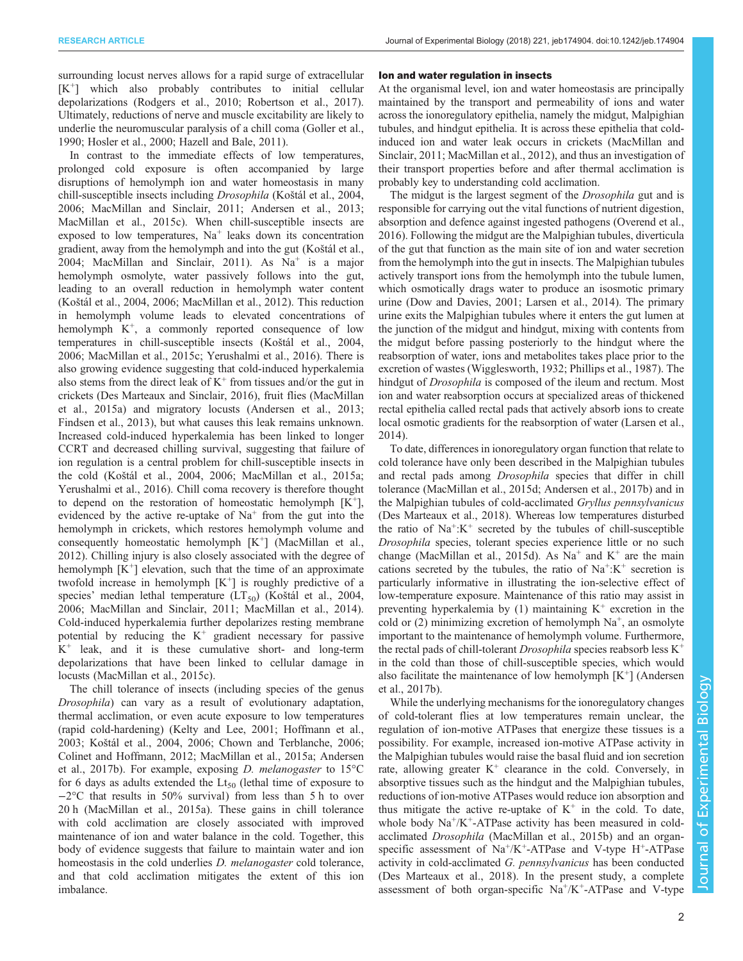surrounding locust nerves allows for a rapid surge of extracellular  $[K^+]$  which also probably contributes to initial cellular depolarizations [\(Rodgers et al., 2010](#page-12-0); [Robertson et al., 2017\)](#page-12-0). Ultimately, reductions of nerve and muscle excitability are likely to underlie the neuromuscular paralysis of a chill coma (Goller et al., 1990; [Hosler et al., 2000](#page-11-0); [Hazell and Bale, 2011](#page-11-0)).

In contrast to the immediate effects of low temperatures, prolonged cold exposure is often accompanied by large disruptions of hemolymph ion and water homeostasis in many chill-susceptible insects including Drosophila (Koš[tál et al., 2004,](#page-11-0) [2006](#page-11-0); [MacMillan and Sinclair, 2011](#page-11-0); [Andersen et al., 2013](#page-11-0); [MacMillan et al., 2015c](#page-11-0)). When chill-susceptible insects are exposed to low temperatures,  $Na<sup>+</sup>$  leaks down its concentration gradient, away from the hemolymph and into the gut (Koš[tál et al.,](#page-11-0) [2004](#page-11-0); [MacMillan and Sinclair, 2011\)](#page-11-0). As  $Na<sup>+</sup>$  is a major hemolymph osmolyte, water passively follows into the gut, leading to an overall reduction in hemolymph water content (Koš[tál et al., 2004, 2006; MacMillan et al., 2012](#page-11-0)). This reduction in hemolymph volume leads to elevated concentrations of hemolymph  $K^+$ , a commonly reported consequence of low temperatures in chill-susceptible insects (Koš[tál et al., 2004,](#page-11-0) [2006](#page-11-0); [MacMillan et al., 2015c;](#page-11-0) [Yerushalmi et al., 2016\)](#page-12-0). There is also growing evidence suggesting that cold-induced hyperkalemia also stems from the direct leak of  $K^+$  from tissues and/or the gut in crickets ([Des Marteaux and Sinclair, 2016](#page-11-0)), fruit flies [\(MacMillan](#page-11-0) [et al., 2015a\)](#page-11-0) and migratory locusts ([Andersen et al., 2013](#page-11-0); [Findsen et al., 2013\)](#page-11-0), but what causes this leak remains unknown. Increased cold-induced hyperkalemia has been linked to longer CCRT and decreased chilling survival, suggesting that failure of ion regulation is a central problem for chill-susceptible insects in the cold (Koš[tál et al., 2004, 2006; MacMillan et al., 2015a](#page-11-0); [Yerushalmi et al., 2016\)](#page-12-0). Chill coma recovery is therefore thought to depend on the restoration of homeostatic hemolymph  $[K^+]$ , evidenced by the active re-uptake of  $Na<sup>+</sup>$  from the gut into the hemolymph in crickets, which restores hemolymph volume and consequently homeostatic hemolymph  $[K^+]$  [\(MacMillan et al.,](#page-11-0) [2012](#page-11-0)). Chilling injury is also closely associated with the degree of hemolymph  $[K^+]$  elevation, such that the time of an approximate twofold increase in hemolymph  $[K^+]$  is roughly predictive of a species' median lethal temperature  $(LT_{50})$  (Koš[tál et al., 2004,](#page-11-0) [2006](#page-11-0); [MacMillan and Sinclair, 2011](#page-11-0); [MacMillan et al., 2014\)](#page-11-0). Cold-induced hyperkalemia further depolarizes resting membrane potential by reducing the  $K^+$  gradient necessary for passive  $K^+$  leak, and it is these cumulative short- and long-term depolarizations that have been linked to cellular damage in locusts [\(MacMillan et al., 2015c](#page-11-0)).

The chill tolerance of insects (including species of the genus Drosophila) can vary as a result of evolutionary adaptation, thermal acclimation, or even acute exposure to low temperatures (rapid cold-hardening) ([Kelty and Lee, 2001](#page-11-0); [Hoffmann et al.,](#page-11-0) [2003](#page-11-0); Koš[tál et al., 2004](#page-11-0), [2006; Chown and Terblanche, 2006](#page-11-0); [Colinet and Hoffmann, 2012](#page-11-0); [MacMillan et al., 2015a; Andersen](#page-11-0) [et al., 2017b](#page-11-0)). For example, exposing D. melanogaster to 15°C for 6 days as adults extended the  $Lt_{50}$  (lethal time of exposure to −2°C that results in 50% survival) from less than 5 h to over 20 h ([MacMillan et al., 2015a\)](#page-11-0). These gains in chill tolerance with cold acclimation are closely associated with improved maintenance of ion and water balance in the cold. Together, this body of evidence suggests that failure to maintain water and ion homeostasis in the cold underlies *D. melanogaster* cold tolerance, and that cold acclimation mitigates the extent of this ion imbalance.

#### Ion and water regulation in insects

At the organismal level, ion and water homeostasis are principally maintained by the transport and permeability of ions and water across the ionoregulatory epithelia, namely the midgut, Malpighian tubules, and hindgut epithelia. It is across these epithelia that coldinduced ion and water leak occurs in crickets [\(MacMillan and](#page-11-0) [Sinclair, 2011; MacMillan et al., 2012](#page-11-0)), and thus an investigation of their transport properties before and after thermal acclimation is probably key to understanding cold acclimation.

The midgut is the largest segment of the Drosophila gut and is responsible for carrying out the vital functions of nutrient digestion, absorption and defence against ingested pathogens ([Overend et al.,](#page-11-0) [2016\)](#page-11-0). Following the midgut are the Malpighian tubules, diverticula of the gut that function as the main site of ion and water secretion from the hemolymph into the gut in insects. The Malpighian tubules actively transport ions from the hemolymph into the tubule lumen, which osmotically drags water to produce an isosmotic primary urine ([Dow and Davies, 2001; Larsen et al., 2014](#page-11-0)). The primary urine exits the Malpighian tubules where it enters the gut lumen at the junction of the midgut and hindgut, mixing with contents from the midgut before passing posteriorly to the hindgut where the reabsorption of water, ions and metabolites takes place prior to the excretion of wastes [\(Wigglesworth, 1932](#page-12-0); [Phillips et al., 1987\)](#page-12-0). The hindgut of Drosophila is composed of the ileum and rectum. Most ion and water reabsorption occurs at specialized areas of thickened rectal epithelia called rectal pads that actively absorb ions to create local osmotic gradients for the reabsorption of water [\(Larsen et al.,](#page-11-0) [2014\)](#page-11-0).

To date, differences in ionoregulatory organ function that relate to cold tolerance have only been described in the Malpighian tubules and rectal pads among Drosophila species that differ in chill tolerance ([MacMillan et al., 2015d](#page-11-0); [Andersen et al., 2017b\)](#page-11-0) and in the Malpighian tubules of cold-acclimated Gryllus pennsylvanicus [\(Des Marteaux et al., 2018](#page-11-0)). Whereas low temperatures disturbed the ratio of  $Na^+$ : $K^+$  secreted by the tubules of chill-susceptible Drosophila species, tolerant species experience little or no such change ([MacMillan et al., 2015d\)](#page-11-0). As  $Na<sup>+</sup>$  and  $K<sup>+</sup>$  are the main cations secreted by the tubules, the ratio of  $Na^+ : K^+$  secretion is particularly informative in illustrating the ion-selective effect of low-temperature exposure. Maintenance of this ratio may assist in preventing hyperkalemia by  $(1)$  maintaining  $K^+$  excretion in the cold or (2) minimizing excretion of hemolymph  $Na<sup>+</sup>$ , an osmolyte important to the maintenance of hemolymph volume. Furthermore, the rectal pads of chill-tolerant *Drosophila* species reabsorb less  $K^+$ in the cold than those of chill-susceptible species, which would also facilitate the maintenance of low hemolymph  $[K^+]$  ([Andersen](#page-11-0) [et al., 2017b](#page-11-0)).

While the underlying mechanisms for the ionoregulatory changes of cold-tolerant flies at low temperatures remain unclear, the regulation of ion-motive ATPases that energize these tissues is a possibility. For example, increased ion-motive ATPase activity in the Malpighian tubules would raise the basal fluid and ion secretion rate, allowing greater  $K^+$  clearance in the cold. Conversely, in absorptive tissues such as the hindgut and the Malpighian tubules, reductions of ion-motive ATPases would reduce ion absorption and thus mitigate the active re-uptake of  $K^+$  in the cold. To date, whole body  $Na^+/K^+$ -ATPase activity has been measured in coldacclimated Drosophila [\(MacMillan et al., 2015b\)](#page-11-0) and an organspecific assessment of  $Na^+/K^+$ -ATPase and V-type H<sup>+</sup>-ATPase activity in cold-acclimated G. pennsylvanicus has been conducted [\(Des Marteaux et al., 2018](#page-11-0)). In the present study, a complete assessment of both organ-specific  $Na^+/K^+$ -ATPase and V-type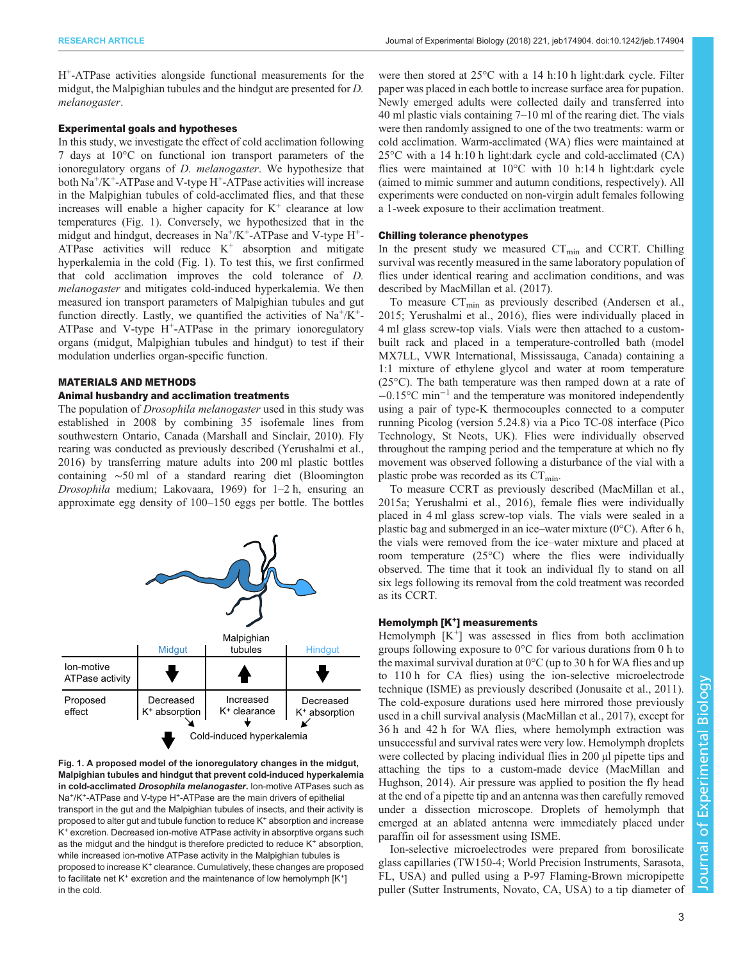melanogaster.

H+-ATPase activities alongside functional measurements for the

#### Experimental goals and hypotheses

In this study, we investigate the effect of cold acclimation following 7 days at 10°C on functional ion transport parameters of the ionoregulatory organs of *D. melanogaster*. We hypothesize that both  $\text{Na}^+\text{/K}^+$ -ATPase and V-type H<sup>+</sup>-ATPase activities will increase in the Malpighian tubules of cold-acclimated flies, and that these increases will enable a higher capacity for  $K^+$  clearance at low temperatures (Fig. 1). Conversely, we hypothesized that in the midgut and hindgut, decreases in  $Na^+/K^+$ -ATPase and V-type  $H^+$ -ATPase activities will reduce  $K^+$  absorption and mitigate hyperkalemia in the cold (Fig. 1). To test this, we first confirmed that cold acclimation improves the cold tolerance of D. melanogaster and mitigates cold-induced hyperkalemia. We then measured ion transport parameters of Malpighian tubules and gut function directly. Lastly, we quantified the activities of  $Na^{+}/K^{+}$ -ATPase and V-type  $H^+$ -ATPase in the primary ionoregulatory organs (midgut, Malpighian tubules and hindgut) to test if their modulation underlies organ-specific function.

midgut, the Malpighian tubules and the hindgut are presented for D.

## MATERIALS AND METHODS

#### Animal husbandry and acclimation treatments

The population of *Drosophila melanogaster* used in this study was established in 2008 by combining 35 isofemale lines from southwestern Ontario, Canada [\(Marshall and Sinclair, 2010](#page-11-0)). Fly rearing was conducted as previously described [\(Yerushalmi et al.,](#page-12-0) [2016](#page-12-0)) by transferring mature adults into 200 ml plastic bottles containing ∼50 ml of a standard rearing diet (Bloomington Drosophila medium; [Lakovaara, 1969](#page-11-0)) for 1–2 h, ensuring an approximate egg density of 100–150 eggs per bottle. The bottles



Fig. 1. A proposed model of the ionoregulatory changes in the midgut, Malpighian tubules and hindgut that prevent cold-induced hyperkalemia in cold-acclimated Drosophila melanogaster. Ion-motive ATPases such as Na<sup>+</sup>/K<sup>+</sup>-ATPase and V-type H<sup>+</sup>-ATPase are the main drivers of epithelial transport in the gut and the Malpighian tubules of insects, and their activity is proposed to alter gut and tubule function to reduce K<sup>+</sup> absorption and increase K+ excretion. Decreased ion-motive ATPase activity in absorptive organs such as the midgut and the hindgut is therefore predicted to reduce  $K^*$  absorption, while increased ion-motive ATPase activity in the Malpighian tubules is proposed to increase K<sup>+</sup> clearance. Cumulatively, these changes are proposed to facilitate net  $K^+$  excretion and the maintenance of low hemolymph  $[K^+]$ in the cold.

were then stored at 25°C with a 14 h:10 h light:dark cycle. Filter paper was placed in each bottle to increase surface area for pupation. Newly emerged adults were collected daily and transferred into 40 ml plastic vials containing 7–10 ml of the rearing diet. The vials were then randomly assigned to one of the two treatments: warm or cold acclimation. Warm-acclimated (WA) flies were maintained at 25°C with a 14 h:10 h light:dark cycle and cold-acclimated (CA) flies were maintained at 10°C with 10 h:14 h light:dark cycle (aimed to mimic summer and autumn conditions, respectively). All experiments were conducted on non-virgin adult females following a 1-week exposure to their acclimation treatment.

#### Chilling tolerance phenotypes

In the present study we measured  $CT_{min}$  and CCRT. Chilling survival was recently measured in the same laboratory population of flies under identical rearing and acclimation conditions, and was described by [MacMillan et al. \(2017\).](#page-11-0)

To measure  $CT_{\text{min}}$  as previously described [\(Andersen et al.,](#page-11-0) [2015;](#page-11-0) [Yerushalmi et al., 2016](#page-12-0)), flies were individually placed in 4 ml glass screw-top vials. Vials were then attached to a custombuilt rack and placed in a temperature-controlled bath (model MX7LL, VWR International, Mississauga, Canada) containing a 1:1 mixture of ethylene glycol and water at room temperature (25°C). The bath temperature was then ramped down at a rate of −0.15°C min−<sup>1</sup> and the temperature was monitored independently using a pair of type-K thermocouples connected to a computer running Picolog (version 5.24.8) via a Pico TC-08 interface (Pico Technology, St Neots, UK). Flies were individually observed throughout the ramping period and the temperature at which no fly movement was observed following a disturbance of the vial with a plastic probe was recorded as its  $CT_{min}$ .

To measure CCRT as previously described ([MacMillan et al.,](#page-11-0) [2015a](#page-11-0); [Yerushalmi et al., 2016](#page-12-0)), female flies were individually placed in 4 ml glass screw-top vials. The vials were sealed in a plastic bag and submerged in an ice–water mixture (0°C). After 6 h, the vials were removed from the ice–water mixture and placed at room temperature (25°C) where the flies were individually observed. The time that it took an individual fly to stand on all six legs following its removal from the cold treatment was recorded as its CCRT.

## Hemolymph [K<sup>+</sup>] measurements

Hemolymph  $[K^+]$  was assessed in flies from both acclimation groups following exposure to 0°C for various durations from 0 h to the maximal survival duration at  $0^{\circ}$ C (up to 30 h for WA flies and up to 110 h for CA flies) using the ion-selective microelectrode technique (ISME) as previously described ([Jonusaite et al., 2011\)](#page-11-0). The cold-exposure durations used here mirrored those previously used in a chill survival analysis ([MacMillan et al., 2017\)](#page-11-0), except for 36 h and 42 h for WA flies, where hemolymph extraction was unsuccessful and survival rates were very low. Hemolymph droplets were collected by placing individual flies in 200 µl pipette tips and attaching the tips to a custom-made device ([MacMillan and](#page-11-0) [Hughson, 2014](#page-11-0)). Air pressure was applied to position the fly head at the end of a pipette tip and an antenna was then carefully removed under a dissection microscope. Droplets of hemolymph that emerged at an ablated antenna were immediately placed under paraffin oil for assessment using ISME.

Ion-selective microelectrodes were prepared from borosilicate glass capillaries (TW150-4; World Precision Instruments, Sarasota, FL, USA) and pulled using a P-97 Flaming-Brown micropipette puller (Sutter Instruments, Novato, CA, USA) to a tip diameter of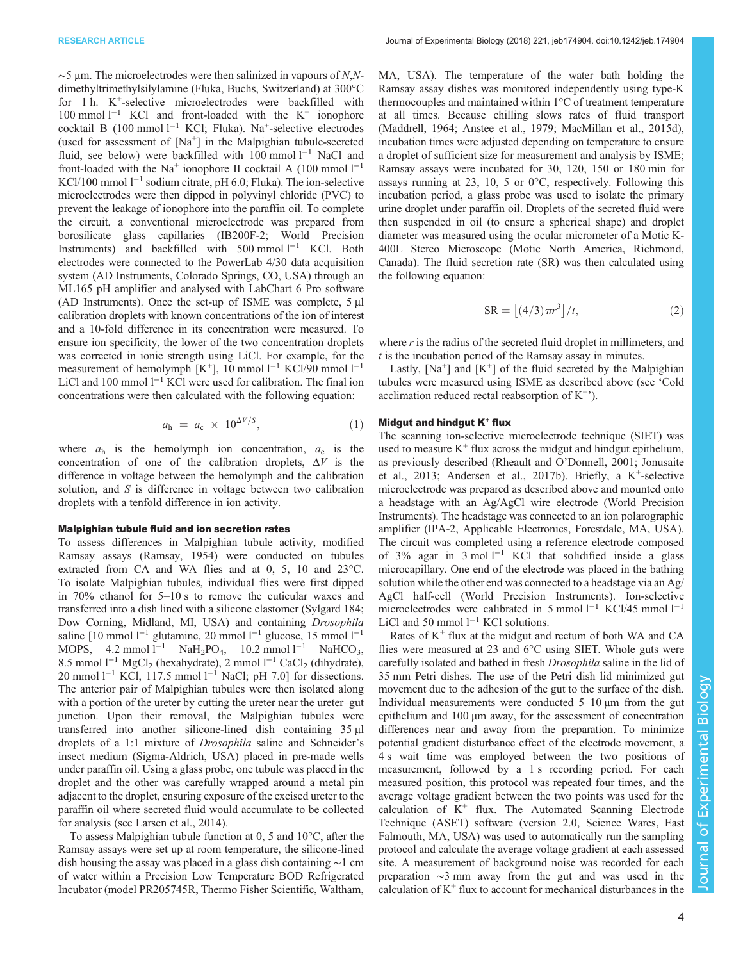$\sim$ 5 µm. The microelectrodes were then salinized in vapours of N,Ndimethyltrimethylsilylamine (Fluka, Buchs, Switzerland) at 300°C for 1 h.  $K^+$ -selective microelectrodes were backfilled with 100 mmol l−<sup>1</sup> KCl and front-loaded with the K+ ionophore cocktail B (100 mmol l−<sup>1</sup> KCl; Fluka). Na+-selective electrodes (used for assessment of  $[Na^+]$  in the Malpighian tubule-secreted fluid, see below) were backfilled with 100 mmol l−<sup>1</sup> NaCl and front-loaded with the Na<sup>+</sup> ionophore II cocktail A (100 mmol  $l^{-1}$ ) KCl/100 mmol l−<sup>1</sup> sodium citrate, pH 6.0; Fluka). The ion-selective microelectrodes were then dipped in polyvinyl chloride (PVC) to prevent the leakage of ionophore into the paraffin oil. To complete the circuit, a conventional microelectrode was prepared from borosilicate glass capillaries (IB200F-2; World Precision Instruments) and backfilled with 500 mmol l−<sup>1</sup> KCl. Both electrodes were connected to the PowerLab 4/30 data acquisition system (AD Instruments, Colorado Springs, CO, USA) through an ML165 pH amplifier and analysed with LabChart 6 Pro software (AD Instruments). Once the set-up of ISME was complete,  $5 \mu l$ calibration droplets with known concentrations of the ion of interest and a 10-fold difference in its concentration were measured. To ensure ion specificity, the lower of the two concentration droplets was corrected in ionic strength using LiCl. For example, for the measurement of hemolymph [K<sup>+</sup>], 10 mmol l<sup>-1</sup> KCl/90 mmol l<sup>-1</sup> LiCl and 100 mmol  $l^{-1}$  KCl were used for calibration. The final ion concentrations were then calculated with the following equation:

$$
a_{\rm h} = a_{\rm c} \times 10^{\Delta V/S}, \tag{1}
$$

where  $a_h$  is the hemolymph ion concentration,  $a_c$  is the concentration of one of the calibration droplets,  $\Delta V$  is the difference in voltage between the hemolymph and the calibration solution, and S is difference in voltage between two calibration droplets with a tenfold difference in ion activity.

#### Malpighian tubule fluid and ion secretion rates

To assess differences in Malpighian tubule activity, modified Ramsay assays [\(Ramsay, 1954](#page-12-0)) were conducted on tubules extracted from CA and WA flies and at 0, 5, 10 and 23°C. To isolate Malpighian tubules, individual flies were first dipped in 70% ethanol for 5–10 s to remove the cuticular waxes and transferred into a dish lined with a silicone elastomer (Sylgard 184; Dow Corning, Midland, MI, USA) and containing Drosophila saline [10 mmol l<sup>-1</sup> glutamine, 20 mmol l<sup>-1</sup> glucose, 15 mmol l<sup>-1</sup> MOPS, 4.2 mmol l<sup>-1</sup> NaH<sub>2</sub>PO<sub>4</sub>, 10.2 mmol l<sup>-1</sup> NaHCO<sub>3</sub>, 8.5 mmol l<sup>−1</sup> MgCl<sub>2</sub> (hexahydrate), 2 mmol l<sup>−1</sup> CaCl<sub>2</sub> (dihydrate), 20 mmol  $l^{-1}$  KCl, 117.5 mmol  $l^{-1}$  NaCl; pH 7.0] for dissections. The anterior pair of Malpighian tubules were then isolated along with a portion of the ureter by cutting the ureter near the ureter–gut junction. Upon their removal, the Malpighian tubules were transferred into another silicone-lined dish containing 35 µl droplets of a 1:1 mixture of Drosophila saline and Schneider's insect medium (Sigma-Aldrich, USA) placed in pre-made wells under paraffin oil. Using a glass probe, one tubule was placed in the droplet and the other was carefully wrapped around a metal pin adjacent to the droplet, ensuring exposure of the excised ureter to the paraffin oil where secreted fluid would accumulate to be collected for analysis (see [Larsen et al., 2014\)](#page-11-0).

To assess Malpighian tubule function at 0, 5 and 10°C, after the Ramsay assays were set up at room temperature, the silicone-lined dish housing the assay was placed in a glass dish containing ∼1 cm of water within a Precision Low Temperature BOD Refrigerated Incubator (model PR205745R, Thermo Fisher Scientific, Waltham, MA, USA). The temperature of the water bath holding the Ramsay assay dishes was monitored independently using type-K thermocouples and maintained within 1°C of treatment temperature at all times. Because chilling slows rates of fluid transport [\(Maddrell, 1964; Anstee et al., 1979](#page-11-0); [MacMillan et al., 2015d\)](#page-11-0), incubation times were adjusted depending on temperature to ensure a droplet of sufficient size for measurement and analysis by ISME; Ramsay assays were incubated for 30, 120, 150 or 180 min for assays running at 23, 10, 5 or 0°C, respectively. Following this incubation period, a glass probe was used to isolate the primary urine droplet under paraffin oil. Droplets of the secreted fluid were then suspended in oil (to ensure a spherical shape) and droplet diameter was measured using the ocular micrometer of a Motic K-400L Stereo Microscope (Motic North America, Richmond, Canada). The fluid secretion rate (SR) was then calculated using the following equation:

$$
SR = \left[ \left( 4/3 \right) \pi r^3 \right] / t, \tag{2}
$$

where  $r$  is the radius of the secreted fluid droplet in millimeters, and  $t$  is the incubation period of the Ramsay assay in minutes.

Lastly,  $[Na^+]$  and  $[K^+]$  of the fluid secreted by the Malpighian tubules were measured using ISME as described above (see 'Cold acclimation reduced rectal reabsorption of  $K^{+}$ ).

#### Midgut and hindgut  $K^+$  flux

The scanning ion-selective microelectrode technique (SIET) was used to measure  $K^+$  flux across the midgut and hindgut epithelium, as previously described [\(Rheault and O](#page-12-0)'Donnell, 2001; [Jonusaite](#page-11-0) [et al., 2013](#page-11-0); [Andersen et al., 2017b\)](#page-11-0). Briefly, a  $K^+$ -selective microelectrode was prepared as described above and mounted onto a headstage with an Ag/AgCl wire electrode (World Precision Instruments). The headstage was connected to an ion polarographic amplifier (IPA-2, Applicable Electronics, Forestdale, MA, USA). The circuit was completed using a reference electrode composed of 3% agar in 3 mol  $l^{-1}$  KCl that solidified inside a glass microcapillary. One end of the electrode was placed in the bathing solution while the other end was connected to a headstage via an Ag/ AgCl half-cell (World Precision Instruments). Ion-selective microelectrodes were calibrated in 5 mmol l<sup>-1</sup> KCl/45 mmol l<sup>-1</sup> LiCl and 50 mmol  $l^{-1}$  KCl solutions.

Rates of  $K^+$  flux at the midgut and rectum of both WA and CA flies were measured at 23 and 6°C using SIET. Whole guts were carefully isolated and bathed in fresh Drosophila saline in the lid of 35 mm Petri dishes. The use of the Petri dish lid minimized gut movement due to the adhesion of the gut to the surface of the dish. Individual measurements were conducted  $5-10 \mu m$  from the gut epithelium and 100 µm away, for the assessment of concentration differences near and away from the preparation. To minimize potential gradient disturbance effect of the electrode movement, a 4 s wait time was employed between the two positions of measurement, followed by a 1 s recording period. For each measured position, this protocol was repeated four times, and the average voltage gradient between the two points was used for the calculation of  $K^+$  flux. The Automated Scanning Electrode Technique (ASET) software (version 2.0, Science Wares, East Falmouth, MA, USA) was used to automatically run the sampling protocol and calculate the average voltage gradient at each assessed site. A measurement of background noise was recorded for each preparation ∼3 mm away from the gut and was used in the calculation of  $K^+$  flux to account for mechanical disturbances in the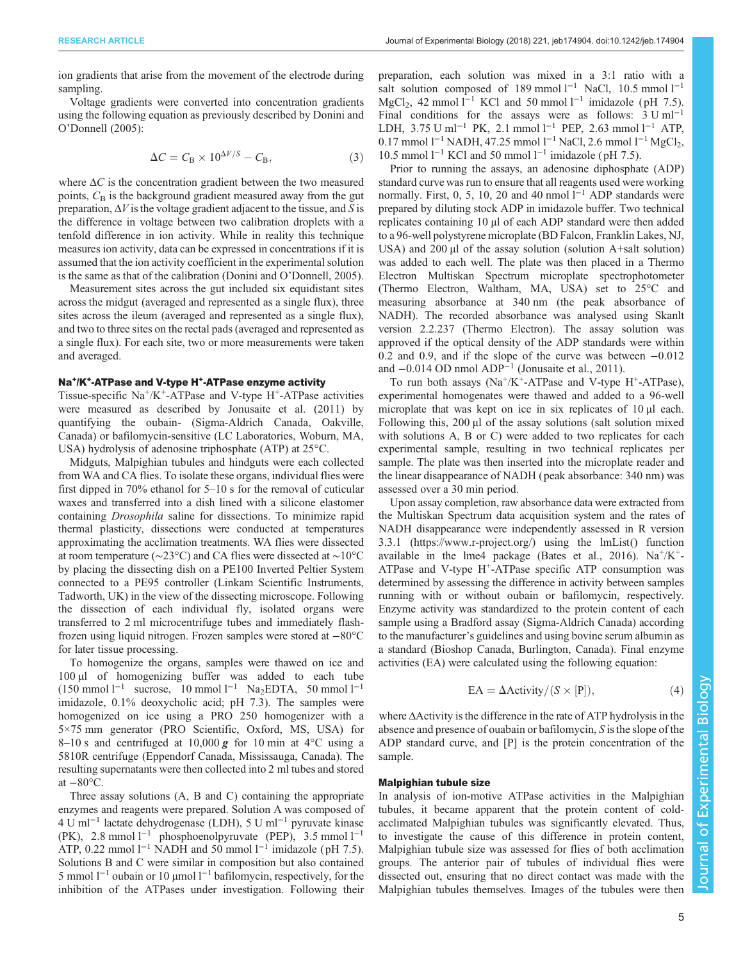ion gradients that arise from the movement of the electrode during sampling.

Voltage gradients were converted into concentration gradients using the following equation as previously described by [Donini and](#page-11-0) O'[Donnell \(2005\)](#page-11-0):

$$
\Delta C = C_{\rm B} \times 10^{\Delta V/S} - C_{\rm B},\tag{3}
$$

where  $\Delta C$  is the concentration gradient between the two measured points,  $C_{\rm B}$  is the background gradient measured away from the gut preparation,  $\Delta V$  is the voltage gradient adjacent to the tissue, and S is the difference in voltage between two calibration droplets with a tenfold difference in ion activity. While in reality this technique measures ion activity, data can be expressed in concentrations if it is assumed that the ion activity coefficient in the experimental solution is the same as that of the calibration (Donini and O'[Donnell, 2005\)](#page-11-0).

Measurement sites across the gut included six equidistant sites across the midgut (averaged and represented as a single flux), three sites across the ileum (averaged and represented as a single flux), and two to three sites on the rectal pads (averaged and represented as a single flux). For each site, two or more measurements were taken and averaged.

## Na<sup>+</sup>/K<sup>+</sup>-ATPase and V-type H<sup>+</sup>-ATPase enzyme activity

Tissue-specific  $Na^+/K^+$ -ATPase and V-type H<sup>+</sup>-ATPase activities were measured as described by [Jonusaite et al. \(2011\)](#page-11-0) by quantifying the oubain- (Sigma-Aldrich Canada, Oakville, Canada) or bafilomycin-sensitive (LC Laboratories, Woburn, MA, USA) hydrolysis of adenosine triphosphate (ATP) at 25°C.

Midguts, Malpighian tubules and hindguts were each collected from WA and CA flies. To isolate these organs, individual flies were first dipped in 70% ethanol for 5–10 s for the removal of cuticular waxes and transferred into a dish lined with a silicone elastomer containing Drosophila saline for dissections. To minimize rapid thermal plasticity, dissections were conducted at temperatures approximating the acclimation treatments. WA flies were dissected at room temperature (∼23°C) and CA flies were dissected at ∼10°C by placing the dissecting dish on a PE100 Inverted Peltier System connected to a PE95 controller (Linkam Scientific Instruments, Tadworth, UK) in the view of the dissecting microscope. Following the dissection of each individual fly, isolated organs were transferred to 2 ml microcentrifuge tubes and immediately flashfrozen using liquid nitrogen. Frozen samples were stored at −80°C for later tissue processing.

To homogenize the organs, samples were thawed on ice and 100 µl of homogenizing buffer was added to each tube  $(150 \text{ mmol } 1^{-1}$  sucrose, 10 mmol  $1^{-1}$  Na<sub>2</sub>EDTA, 50 mmol  $1^{-1}$ imidazole, 0.1% deoxycholic acid; pH 7.3). The samples were homogenized on ice using a PRO 250 homogenizer with a 5×75 mm generator (PRO Scientific, Oxford, MS, USA) for 8–10 s and centrifuged at 10,000 g for 10 min at  $4^{\circ}$ C using a 5810R centrifuge (Eppendorf Canada, Mississauga, Canada). The resulting supernatants were then collected into 2 ml tubes and stored at  $-80^{\circ}$ C.

Three assay solutions (A, B and C) containing the appropriate enzymes and reagents were prepared. Solution A was composed of 4 U ml−<sup>1</sup> lactate dehydrogenase (LDH), 5 U ml−<sup>1</sup> pyruvate kinase (PK), 2.8 mmol l−<sup>1</sup> phosphoenolpyruvate (PEP), 3.5 mmol l−<sup>1</sup> ATP, 0.22 mmol  $l^{-1}$  NADH and 50 mmol  $l^{-1}$  imidazole (pH 7.5). Solutions B and C were similar in composition but also contained 5 mmol l−<sup>1</sup> oubain or 10 µmol l−<sup>1</sup> bafilomycin, respectively, for the inhibition of the ATPases under investigation. Following their

preparation, each solution was mixed in a 3:1 ratio with a salt solution composed of 189 mmol  $l^{-1}$  NaCl, 10.5 mmol  $l^{-1}$ MgCl<sub>2</sub>, 42 mmol l<sup>-1</sup> KCl and 50 mmol l<sup>-1</sup> imidazole (pH 7.5). Final conditions for the assays were as follows:  $3 \text{ U ml}^{-1}$ LDH, 3.75 U ml−<sup>1</sup> PK, 2.1 mmol l−<sup>1</sup> PEP, 2.63 mmol l−<sup>1</sup> ATP, 0.17 mmol l<sup>-1</sup> NADH, 47.25 mmol l<sup>-1</sup> NaCl, 2.6 mmol l<sup>-1</sup> MgCl<sub>2</sub>, 10.5 mmol  $l^{-1}$  KCl and 50 mmol  $l^{-1}$  imidazole (pH 7.5).

Prior to running the assays, an adenosine diphosphate (ADP) standard curve was run to ensure that all reagents used were working normally. First, 0, 5, 10, 20 and 40 nmol  $l^{-1}$  ADP standards were prepared by diluting stock ADP in imidazole buffer. Two technical replicates containing 10 µl of each ADP standard were then added to a 96-well polystyrene microplate (BD Falcon, Franklin Lakes, NJ, USA) and  $200 \mu l$  of the assay solution (solution A+salt solution) was added to each well. The plate was then placed in a Thermo Electron Multiskan Spectrum microplate spectrophotometer (Thermo Electron, Waltham, MA, USA) set to 25°C and measuring absorbance at 340 nm (the peak absorbance of NADH). The recorded absorbance was analysed using Skanlt version 2.2.237 (Thermo Electron). The assay solution was approved if the optical density of the ADP standards were within 0.2 and 0.9, and if the slope of the curve was between −0.012 and −0.014 OD nmol ADP−<sup>1</sup> ([Jonusaite et al., 2011](#page-11-0)).

To run both assays  $(Na^+/K^+$ -ATPase and V-type  $H^+$ -ATPase), experimental homogenates were thawed and added to a 96-well microplate that was kept on ice in six replicates of 10  $\mu$ l each. Following this, 200 µl of the assay solutions (salt solution mixed with solutions A, B or C) were added to two replicates for each experimental sample, resulting in two technical replicates per sample. The plate was then inserted into the microplate reader and the linear disappearance of NADH ( peak absorbance: 340 nm) was assessed over a 30 min period.

Upon assay completion, raw absorbance data were extracted from the Multiskan Spectrum data acquisition system and the rates of NADH disappearance were independently assessed in R version 3.3.1 [\(https://www.r-project.org/](https://www.r-project.org/)) using the lmList() function available in the lme4 package [\(Bates et al., 2016](#page-11-0)). Na<sup>+</sup>/K<sup>+</sup>-ATPase and V-type  $H^+$ -ATPase specific ATP consumption was determined by assessing the difference in activity between samples running with or without oubain or bafilomycin, respectively. Enzyme activity was standardized to the protein content of each sample using a Bradford assay (Sigma-Aldrich Canada) according to the manufacturer's guidelines and using bovine serum albumin as a standard (Bioshop Canada, Burlington, Canada). Final enzyme activities (EA) were calculated using the following equation:

$$
EA = \Delta \text{Activity} / (S \times [P]), \tag{4}
$$

where ΔActivity is the difference in the rate of ATP hydrolysis in the absence and presence of ouabain or bafilomycin, S is the slope of the ADP standard curve, and [P] is the protein concentration of the sample.

#### Malpighian tubule size

In analysis of ion-motive ATPase activities in the Malpighian tubules, it became apparent that the protein content of coldacclimated Malpighian tubules was significantly elevated. Thus, to investigate the cause of this difference in protein content, Malpighian tubule size was assessed for flies of both acclimation groups. The anterior pair of tubules of individual flies were dissected out, ensuring that no direct contact was made with the Malpighian tubules themselves. Images of the tubules were then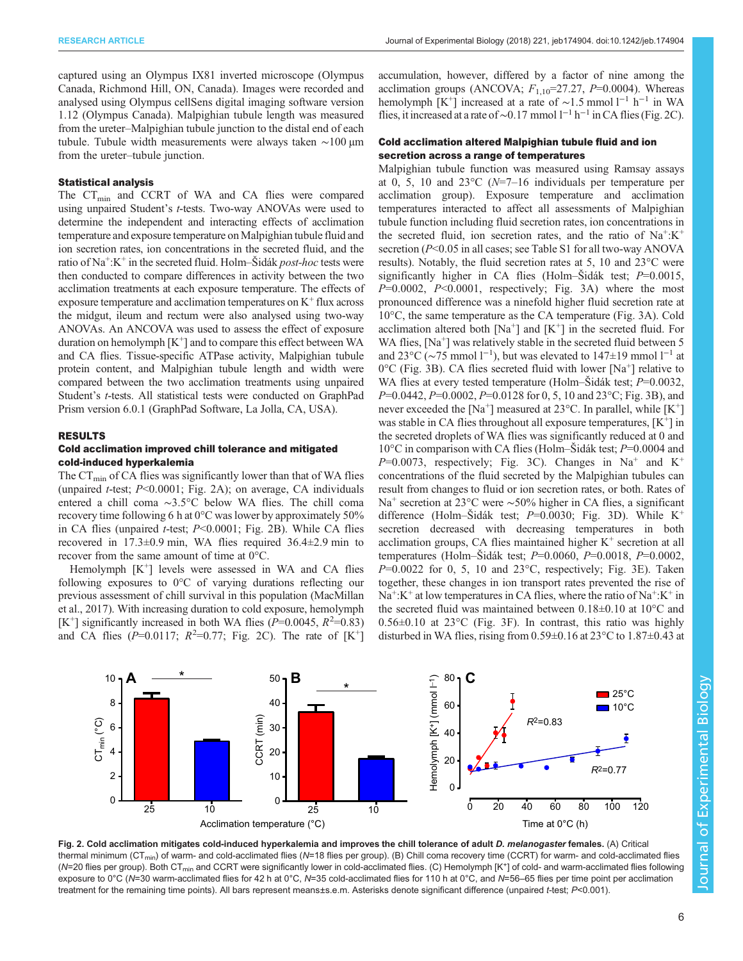<span id="page-5-0"></span>captured using an Olympus IX81 inverted microscope (Olympus Canada, Richmond Hill, ON, Canada). Images were recorded and analysed using Olympus cellSens digital imaging software version 1.12 (Olympus Canada). Malpighian tubule length was measured from the ureter–Malpighian tubule junction to the distal end of each tubule. Tubule width measurements were always taken ∼100 µm from the ureter–tubule junction.

## Statistical analysis

The  $CT_{\text{min}}$  and CCRT of WA and CA flies were compared using unpaired Student's t-tests. Two-way ANOVAs were used to determine the independent and interacting effects of acclimation temperature and exposure temperature on Malpighian tubule fluid and ion secretion rates, ion concentrations in the secreted fluid, and the ratio of  $\text{Na}^{\text{+}}:\text{K}^{\text{+}}$  in the secreted fluid. [Holm](https://en.wikipedia.org/wiki/Holm%E2%80%93Bonferroni_method#Holm%E2%80%93%C5%A0id%C3%A1k_method)–Šidák *post-hoc* tests were then conducted to compare differences in activity between the two acclimation treatments at each exposure temperature. The effects of exposure temperature and acclimation temperatures on  $K^+$  flux across the midgut, ileum and rectum were also analysed using two-way ANOVAs. An ANCOVA was used to assess the effect of exposure duration on hemolymph  $[K^+]$  and to compare this effect between WA and CA flies. Tissue-specific ATPase activity, Malpighian tubule protein content, and Malpighian tubule length and width were compared between the two acclimation treatments using unpaired Student's t-tests. All statistical tests were conducted on GraphPad Prism version 6.0.1 (GraphPad Software, La Jolla, CA, USA).

#### RESULTS

## Cold acclimation improved chill tolerance and mitigated cold-induced hyperkalemia

The  $CT_{\text{min}}$  of CA flies was significantly lower than that of WA flies (unpaired *t*-test;  $P<0.0001$ ; Fig. 2A); on average, CA individuals entered a chill coma ∼3.5°C below WA flies. The chill coma recovery time following 6 h at 0°C was lower by approximately 50% in CA flies (unpaired *t*-test;  $P < 0.0001$ ; Fig. 2B). While CA flies recovered in 17.3±0.9 min, WA flies required 36.4±2.9 min to recover from the same amount of time at 0°C.

Hemolymph  $[K^+]$  levels were assessed in WA and CA flies following exposures to 0°C of varying durations reflecting our previous assessment of chill survival in this population [\(MacMillan](#page-11-0) [et al., 2017](#page-11-0)). With increasing duration to cold exposure, hemolymph [K<sup>+</sup>] significantly increased in both WA flies ( $P=0.0045$ ,  $R^2=0.83$ ) and CA flies ( $P=0.0117$ ;  $R^2=0.77$ ; Fig. 2C). The rate of  $[K^+]$ 

accumulation, however, differed by a factor of nine among the acclimation groups (ANCOVA;  $F_{1,10}$ =27.27, P=0.0004). Whereas hemolymph [K<sup>+</sup>] increased at a rate of ~1.5 mmol l<sup>−1</sup> h<sup>−1</sup> in WA flies, it increased at a rate of ~0.17 mmol  $l^{-1}$  h<sup>-1</sup> in CA flies (Fig. 2C).

## Cold acclimation altered Malpighian tubule fluid and ion secretion across a range of temperatures

Malpighian tubule function was measured using Ramsay assays at 0, 5, 10 and  $23^{\circ}$ C (N=7–16 individuals per temperature per acclimation group). Exposure temperature and acclimation temperatures interacted to affect all assessments of Malpighian tubule function including fluid secretion rates, ion concentrations in the secreted fluid, ion secretion rates, and the ratio of  $Na^{\dagger}:K^{\dagger}$ secretion (P<0.05 in all cases; see [Table S1](http://jeb.biologists.org/lookup/doi/10.1242/jeb.174904.supplemental) for all two-way ANOVA results). Notably, the fluid secretion rates at 5, 10 and 23°C were significantly higher in CA flies [\(Holm](https://en.wikipedia.org/wiki/Holm%E2%80%93Bonferroni_method#Holm%E2%80%93%C5%A0id%C3%A1k_method)–Šidák test;  $P=0.0015$ ,  $P=0.0002$ ,  $P<0.0001$ , respectively; [Fig. 3](#page-6-0)A) where the most pronounced difference was a ninefold higher fluid secretion rate at 10°C, the same temperature as the CA temperature ([Fig. 3A](#page-6-0)). Cold acclimation altered both  $[Na^+]$  and  $[K^+]$  in the secreted fluid. For WA flies,  $[Na^+]$  was relatively stable in the secreted fluid between 5 and 23 $\mathrm{^{\circ}C}$  ( $\sim$ 75 mmol l<sup>-1</sup>), but was elevated to 147±19 mmol l<sup>-1</sup> at  $0^{\circ}$ C ([Fig. 3](#page-6-0)B). CA flies secreted fluid with lower [Na<sup>+</sup>] relative to WA flies at every tested temperature ([Holm](https://en.wikipedia.org/wiki/Holm%E2%80%93Bonferroni_method#Holm%E2%80%93%C5%A0id%C3%A1k_method)–Šidák test;  $P=0.0032$ ,  $P=0.0442$ ,  $P=0.0002$ ,  $P=0.0128$  for 0, 5, 10 and 23°C; [Fig. 3B](#page-6-0)), and never exceeded the [Na<sup>+</sup>] measured at 23 $^{\circ}$ C. In parallel, while [K<sup>+</sup>] was stable in CA flies throughout all exposure temperatures,  $[K^+]$  in the secreted droplets of WA flies was significantly reduced at 0 and 10 $^{\circ}$ C in comparison with CA flies ([Holm](https://en.wikipedia.org/wiki/Holm%E2%80%93Bonferroni_method#Holm%E2%80%93%C5%A0id%C3%A1k_method)–Šidák test;  $P=0.0004$  and  $P=0.0073$ , respectively; [Fig. 3](#page-6-0)C). Changes in Na<sup>+</sup> and K<sup>+</sup> concentrations of the fluid secreted by the Malpighian tubules can result from changes to fluid or ion secretion rates, or both. Rates of Na<sup>+</sup> secretion at 23°C were ∼50% higher in CA flies, a significant difference ([Holm](https://en.wikipedia.org/wiki/Holm%E2%80%93Bonferroni_method#Holm%E2%80%93%C5%A0id%C3%A1k_method)–Šidák test;  $P=0.0030$ ; [Fig. 3D](#page-6-0)). While K<sup>+</sup> secretion decreased with decreasing temperatures in both acclimation groups, CA flies maintained higher  $K^+$  secretion at all temperatures ([Holm](https://en.wikipedia.org/wiki/Holm%E2%80%93Bonferroni_method#Holm%E2%80%93%C5%A0id%C3%A1k_method)–Šidák test;  $P=0.0060$ ,  $P=0.0018$ ,  $P=0.0002$ ,  $P=0.0022$  for 0, 5, 10 and 23 $^{\circ}$ C, respectively; [Fig. 3](#page-6-0)E). Taken together, these changes in ion transport rates prevented the rise of  $Na^+$ :K<sup>+</sup> at low temperatures in CA flies, where the ratio of Na<sup>+</sup>:K<sup>+</sup> in the secreted fluid was maintained between 0.18±0.10 at 10°C and 0.56±0.10 at 23°C ([Fig. 3F](#page-6-0)). In contrast, this ratio was highly disturbed in WA flies, rising from 0.59±0.16 at 23°C to 1.87±0.43 at



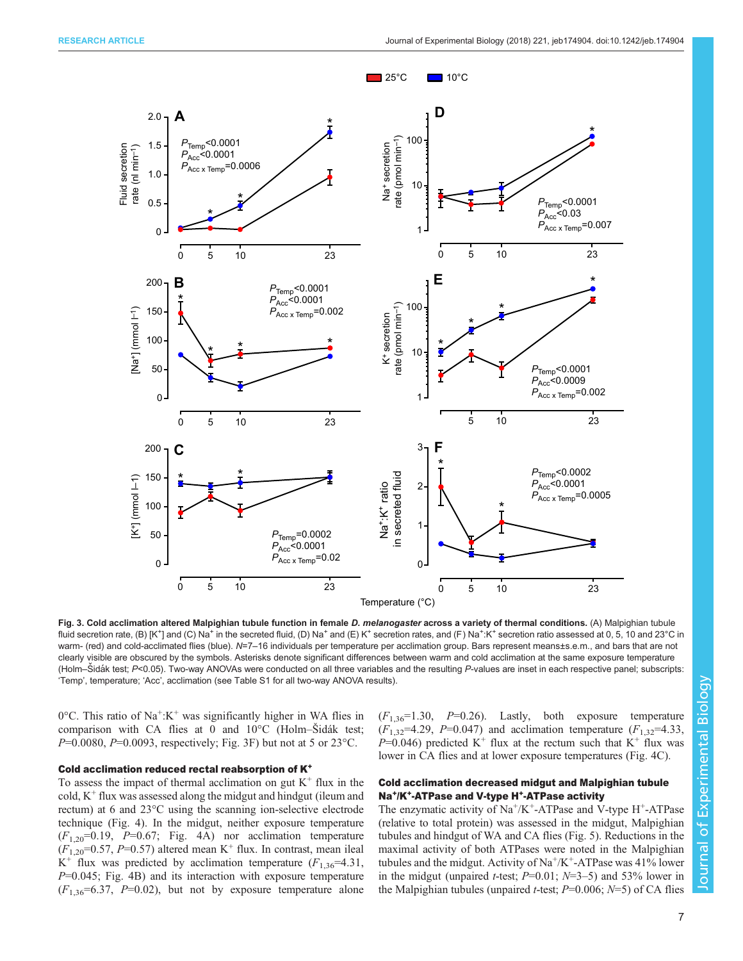<span id="page-6-0"></span>

Fig. 3. Cold acclimation altered Malpighian tubule function in female D. melanogaster across a variety of thermal conditions. (A) Malpighian tubule fluid secretion rate, (B) [K<sup>+</sup>] and (C) Na<sup>+</sup> in the secreted fluid, (D) Na<sup>+</sup> and (E) K<sup>+</sup> secretion rates, and (F) Na<sup>+</sup>:K<sup>+</sup> secretion ratio assessed at 0, 5, 10 and 23°C in warm- (red) and cold-acclimated flies (blue). N=7-16 individuals per temperature per acclimation group. Bars represent means±s.e.m., and bars that are not clearly visible are obscured by the symbols. Asterisks denote significant differences between warm and cold acclimation at the same exposure temperature [\(Holm](https://en.wikipedia.org/wiki/Holm%E2%80%93Bonferroni_method#Holm%E2%80%93%C5%A0id%C3%A1k_method)–Šidák test; P<0.05). Two-way ANOVAs were conducted on all three variables and the resulting P-values are inset in each respective panel; subscripts: 'Temp', temperature; 'Acc', acclimation (see [Table S1](http://jeb.biologists.org/lookup/doi/10.1242/jeb.174904.supplemental) for all two-way ANOVA results).

 $0^{\circ}$ C. This ratio of Na<sup>+</sup>:K<sup>+</sup> was significantly higher in WA flies in comparison with CA flies at 0 and 10°C [\(Holm](https://en.wikipedia.org/wiki/Holm%E2%80%93Bonferroni_method#Holm%E2%80%93%C5%A0id%C3%A1k_method)–Šidák test;  $P=0.0080$ ,  $P=0.0093$ , respectively; Fig. 3F) but not at 5 or 23<sup>o</sup>C.

#### Cold acclimation reduced rectal reabsorption of K<sup>+</sup>

To assess the impact of thermal acclimation on gut  $K^+$  flux in the cold,  $K^+$  flux was assessed along the midgut and hindgut (ileum and rectum) at 6 and 23°C using the scanning ion-selective electrode technique [\(Fig. 4](#page-7-0)). In the midgut, neither exposure temperature  $(F_{1,20}=0.19, P=0.67;$  [Fig. 4A](#page-7-0)) nor acclimation temperature  $(F_{1,20}=0.57, P=0.57)$  altered mean K<sup>+</sup> flux. In contrast, mean ileal K<sup>+</sup> flux was predicted by acclimation temperature  $(F_{1,36} = 4.31)$ ,  $P=0.045$ ; [Fig. 4B](#page-7-0)) and its interaction with exposure temperature  $(F_{1,36}=6.37, P=0.02)$ , but not by exposure temperature alone  $(F_{1,36}=1.30, P=0.26)$ . Lastly, both exposure temperature  $(F_{1,32}=4.29, P=0.047)$  and acclimation temperature  $(F_{1,32}=4.33, F_{1,32}=4.33)$  $P=0.046$ ) predicted K<sup>+</sup> flux at the rectum such that K<sup>+</sup> flux was lower in CA flies and at lower exposure temperatures ([Fig. 4](#page-7-0)C).

# Cold acclimation decreased midgut and Malpighian tubule Na<sup>+</sup>/K<sup>+</sup>-ATPase and V-type H<sup>+</sup>-ATPase activity

The enzymatic activity of  $Na^+/K^+$ -ATPase and V-type H<sup>+</sup>-ATPase (relative to total protein) was assessed in the midgut, Malpighian tubules and hindgut of WA and CA flies ([Fig. 5\)](#page-8-0). Reductions in the maximal activity of both ATPases were noted in the Malpighian tubules and the midgut. Activity of  $Na^+/K^+$ -ATPase was 41% lower in the midgut (unpaired *t*-test;  $P=0.01$ ;  $N=3-5$ ) and 53% lower in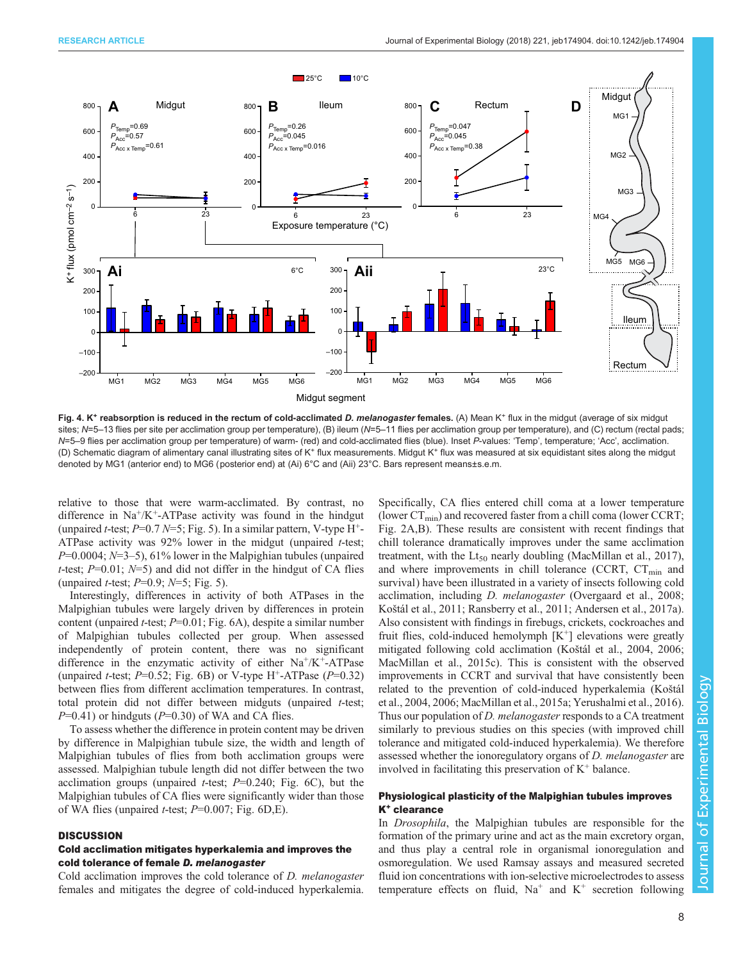<span id="page-7-0"></span>

Fig. 4. K<sup>+</sup> reabsorption is reduced in the rectum of cold-acclimated D. melanogaster females. (A) Mean K<sup>+</sup> flux in the midgut (average of six midgut sites; N=5-13 flies per site per acclimation group per temperature), (B) ileum (N=5-11 flies per acclimation group per temperature), and (C) rectum (rectal pads; N=5-9 flies per acclimation group per temperature) of warm- (red) and cold-acclimated flies (blue). Inset P-values: 'Temp', temperature; 'Acc', acclimation. (D) Schematic diagram of alimentary canal illustrating sites of K+ flux measurements. Midgut K+ flux was measured at six equidistant sites along the midgut denoted by MG1 (anterior end) to MG6 (posterior end) at (Ai) 6°C and (Aii) 23°C. Bars represent means±s.e.m.

relative to those that were warm-acclimated. By contrast, no difference in  $Na^+/K^+$ -ATPase activity was found in the hindgut (unpaired *t*-test;  $P=0.7 N=5$ ; [Fig. 5](#page-8-0)). In a similar pattern, V-type H<sup>+</sup>-ATPase activity was 92% lower in the midgut (unpaired t-test;  $P=0.0004$ ;  $N=3-5$ ), 61% lower in the Malpighian tubules (unpaired t-test;  $P=0.01$ ;  $N=5$ ) and did not differ in the hindgut of CA flies (unpaired *t*-test;  $P=0.9$ ;  $N=5$ ; [Fig. 5](#page-8-0)).

Interestingly, differences in activity of both ATPases in the Malpighian tubules were largely driven by differences in protein content (unpaired *t*-test;  $P=0.01$ ; [Fig. 6A](#page-9-0)), despite a similar number of Malpighian tubules collected per group. When assessed independently of protein content, there was no significant difference in the enzymatic activity of either  $Na^+/K^+$ -ATPase (unpaired *t*-test;  $P=0.52$ ; [Fig. 6](#page-9-0)B) or V-type H<sup>+</sup>-ATPase ( $P=0.32$ ) between flies from different acclimation temperatures. In contrast, total protein did not differ between midguts (unpaired t-test;  $P=0.41$ ) or hindguts ( $P=0.30$ ) of WA and CA flies.

To assess whether the difference in protein content may be driven by difference in Malpighian tubule size, the width and length of Malpighian tubules of flies from both acclimation groups were assessed. Malpighian tubule length did not differ between the two acclimation groups (unpaired *t*-test;  $P=0.240$ ; [Fig. 6C](#page-9-0)), but the Malpighian tubules of CA flies were significantly wider than those of WA flies (unpaired *t*-test;  $P=0.007$ ; [Fig. 6](#page-9-0)D, E).

## **DISCUSSION**

## Cold acclimation mitigates hyperkalemia and improves the cold tolerance of female D. melanogaster

Cold acclimation improves the cold tolerance of D. melanogaster females and mitigates the degree of cold-induced hyperkalemia.

Specifically, CA flies entered chill coma at a lower temperature (lower  $CT_{\text{min}}$ ) and recovered faster from a chill coma (lower CCRT; [Fig. 2](#page-5-0)A,B). These results are consistent with recent findings that chill tolerance dramatically improves under the same acclimation treatment, with the  $Lt_{50}$  nearly doubling ([MacMillan et al., 2017\)](#page-11-0), and where improvements in chill tolerance (CCRT,  $CT_{min}$  and survival) have been illustrated in a variety of insects following cold acclimation, including D. melanogaster ([Overgaard et al., 2008](#page-12-0); Koš[tál et al., 2011;](#page-11-0) [Ransberry et al., 2011;](#page-12-0) [Andersen et al., 2017a\)](#page-11-0). Also consistent with findings in firebugs, crickets, cockroaches and fruit flies, cold-induced hemolymph  $[K^+]$  elevations were greatly mitigated following cold acclimation (Koš[tál et al., 2004](#page-11-0), [2006](#page-11-0); [MacMillan et al., 2015c\)](#page-11-0). This is consistent with the observed improvements in CCRT and survival that have consistently been related to the prevention of cold-induced hyperkalemia [\(Ko](#page-11-0)štál [et al., 2004, 2006; MacMillan et al., 2015a](#page-11-0); [Yerushalmi et al., 2016\)](#page-12-0). Thus our population of *D. melanogaster* responds to a CA treatment similarly to previous studies on this species (with improved chill tolerance and mitigated cold-induced hyperkalemia). We therefore assessed whether the ionoregulatory organs of D. melanogaster are involved in facilitating this preservation of  $K^+$  balance.

## Physiological plasticity of the Malpighian tubules improves K<sup>+</sup> clearance

In *Drosophila*, the Malpighian tubules are responsible for the formation of the primary urine and act as the main excretory organ, and thus play a central role in organismal ionoregulation and osmoregulation. We used Ramsay assays and measured secreted fluid ion concentrations with ion-selective microelectrodes to assess temperature effects on fluid,  $Na<sup>+</sup>$  and  $K<sup>+</sup>$  secretion following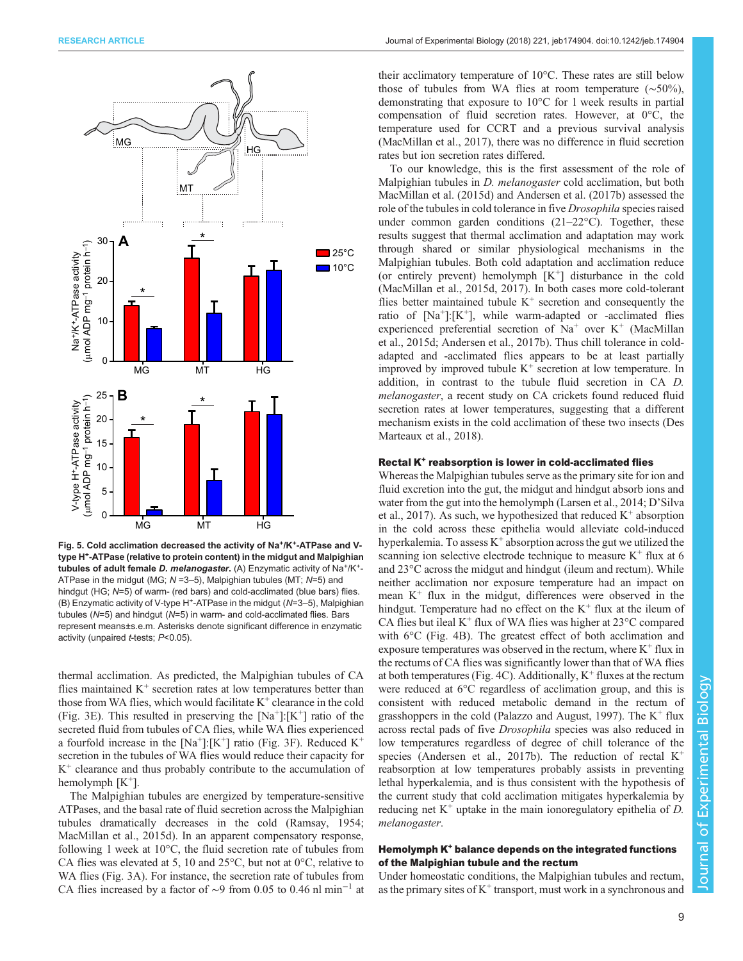<span id="page-8-0"></span>

Fig. 5. Cold acclimation decreased the activity of Na<sup>+</sup>/K<sup>+</sup>-ATPase and Vtype H<sup>+</sup>-ATPase (relative to protein content) in the midgut and Malpighian tubules of adult female D. melanogaster. (A) Enzymatic activity of Na<sup>+</sup>/K<sup>+</sup>-ATPase in the midgut (MG;  $N = 3-5$ ), Malpighian tubules (MT;  $N=5$ ) and hindgut (HG; N=5) of warm- (red bars) and cold-acclimated (blue bars) flies.  $(B)$  Enzymatic activity of V-type H<sup>+</sup>-ATPase in the midgut ( $N=3-5$ ), Malpighian tubules (N=5) and hindgut (N=5) in warm- and cold-acclimated flies. Bars represent means±s.e.m. Asterisks denote significant difference in enzymatic activity (unpaired t-tests; P<0.05).

thermal acclimation. As predicted, the Malpighian tubules of CA flies maintained  $K^+$  secretion rates at low temperatures better than those from WA flies, which would facilitate  $K^+$  clearance in the cold [\(Fig. 3](#page-6-0)E). This resulted in preserving the  $[Na^+]: [K^+]$  ratio of the secreted fluid from tubules of CA flies, while WA flies experienced a fourfold increase in the  $[Na^+]: [K^+]$  ratio ([Fig. 3F](#page-6-0)). Reduced  $K^+$ secretion in the tubules of WA flies would reduce their capacity for  $K<sup>+</sup>$  clearance and thus probably contribute to the accumulation of hemolymph  $[K^+]$ .

The Malpighian tubules are energized by temperature-sensitive ATPases, and the basal rate of fluid secretion across the Malpighian tubules dramatically decreases in the cold ([Ramsay, 1954](#page-12-0); [MacMillan et al., 2015d](#page-11-0)). In an apparent compensatory response, following 1 week at 10°C, the fluid secretion rate of tubules from CA flies was elevated at 5, 10 and 25°C, but not at 0°C, relative to WA flies [\(Fig. 3A](#page-6-0)). For instance, the secretion rate of tubules from CA flies increased by a factor of ~9 from 0.05 to 0.46 nl min<sup>-1</sup> at

their acclimatory temperature of 10°C. These rates are still below those of tubules from WA flies at room temperature (∼50%), demonstrating that exposure to 10°C for 1 week results in partial compensation of fluid secretion rates. However, at 0°C, the temperature used for CCRT and a previous survival analysis [\(MacMillan et al., 2017\)](#page-11-0), there was no difference in fluid secretion rates but ion secretion rates differed.

To our knowledge, this is the first assessment of the role of Malpighian tubules in *D. melanogaster* cold acclimation, but both [MacMillan et al. \(2015d\)](#page-11-0) and [Andersen et al. \(2017b\)](#page-11-0) assessed the role of the tubules in cold tolerance in five Drosophila species raised under common garden conditions (21–22°C). Together, these results suggest that thermal acclimation and adaptation may work through shared or similar physiological mechanisms in the Malpighian tubules. Both cold adaptation and acclimation reduce (or entirely prevent) hemolymph  $[K^+]$  disturbance in the cold [\(MacMillan et al., 2015d, 2017](#page-11-0)). In both cases more cold-tolerant flies better maintained tubule  $K^+$  secretion and consequently the ratio of  $[Na^+]:[K^+]$ , while warm-adapted or -acclimated flies experienced preferential secretion of  $Na<sup>+</sup>$  over  $K<sup>+</sup>$  [\(MacMillan](#page-11-0) [et al., 2015d; Andersen et al., 2017b\)](#page-11-0). Thus chill tolerance in coldadapted and -acclimated flies appears to be at least partially improved by improved tubule  $K^+$  secretion at low temperature. In addition, in contrast to the tubule fluid secretion in CA D. melanogaster, a recent study on CA crickets found reduced fluid secretion rates at lower temperatures, suggesting that a different mechanism exists in the cold acclimation of these two insects [\(Des](#page-11-0) [Marteaux et al., 2018](#page-11-0)).

## Rectal K<sup>+</sup> reabsorption is lower in cold-acclimated flies

Whereas the Malpighian tubules serve as the primary site for ion and fluid excretion into the gut, the midgut and hindgut absorb ions and water from the gut into the hemolymph ([Larsen et al., 2014](#page-11-0); D'[Silva](#page-11-0) [et al., 2017](#page-11-0)). As such, we hypothesized that reduced  $K^+$  absorption in the cold across these epithelia would alleviate cold-induced hyperkalemia. To assess  $K^+$  absorption across the gut we utilized the scanning ion selective electrode technique to measure  $K^+$  flux at 6 and 23°C across the midgut and hindgut (ileum and rectum). While neither acclimation nor exposure temperature had an impact on mean  $K^+$  flux in the midgut, differences were observed in the hindgut. Temperature had no effect on the  $K^+$  flux at the ileum of CA flies but ileal  $K^+$  flux of WA flies was higher at 23 $\degree$ C compared with 6<sup>o</sup>C ([Fig. 4](#page-7-0)B). The greatest effect of both acclimation and exposure temperatures was observed in the rectum, where  $K^+$  flux in the rectums of CA flies was significantly lower than that of WA flies at both temperatures ([Fig. 4](#page-7-0)C). Additionally,  $K^+$  fluxes at the rectum were reduced at 6°C regardless of acclimation group, and this is consistent with reduced metabolic demand in the rectum of grasshoppers in the cold [\(Palazzo and August, 1997\)](#page-12-0). The  $K^+$  flux across rectal pads of five Drosophila species was also reduced in low temperatures regardless of degree of chill tolerance of the species ([Andersen et al., 2017b](#page-11-0)). The reduction of rectal K<sup>+</sup> reabsorption at low temperatures probably assists in preventing lethal hyperkalemia, and is thus consistent with the hypothesis of the current study that cold acclimation mitigates hyperkalemia by reducing net  $K^+$  uptake in the main ionoregulatory epithelia of D. melanogaster.

## Hemolymph K<sup>+</sup> balance depends on the integrated functions of the Malpighian tubule and the rectum

Under homeostatic conditions, the Malpighian tubules and rectum, as the primary sites of  $K^+$  transport, must work in a synchronous and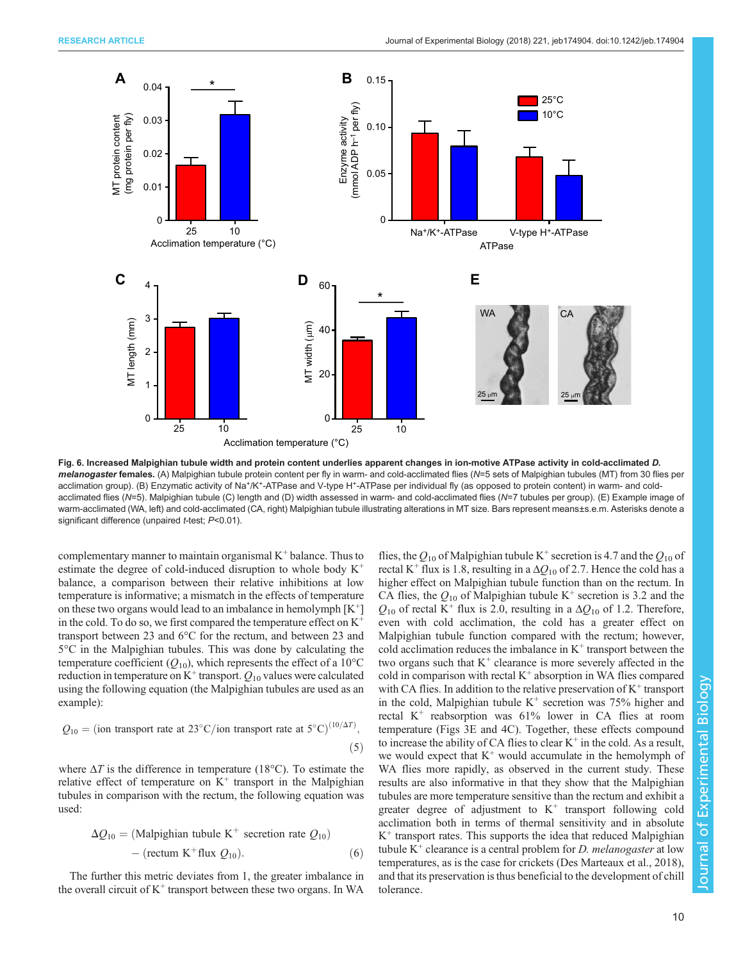<span id="page-9-0"></span>

Fig. 6. Increased Malpighian tubule width and protein content underlies apparent changes in ion-motive ATPase activity in cold-acclimated D. melanogaster females. (A) Malpighian tubule protein content per fly in warm- and cold-acclimated flies (N=5 sets of Malpighian tubules (MT) from 30 flies per acclimation group). (B) Enzymatic activity of Na+/K+-ATPase and V-type H+-ATPase per individual fly (as opposed to protein content) in warm- and coldacclimated flies (N=5). Malpighian tubule (C) length and (D) width assessed in warm- and cold-acclimated flies (N=7 tubules per group). (E) Example image of warm-acclimated (WA, left) and cold-acclimated (CA, right) Malpighian tubule illustrating alterations in MT size. Bars represent means±s.e.m. Asterisks denote a significant difference (unpaired t-test; P<0.01).

complementary manner to maintain organismal  $K^+$  balance. Thus to estimate the degree of cold-induced disruption to whole body K<sup>+</sup> balance, a comparison between their relative inhibitions at low temperature is informative; a mismatch in the effects of temperature on these two organs would lead to an imbalance in hemolymph  $[K^+]$ in the cold. To do so, we first compared the temperature effect on K<sup>+</sup> transport between 23 and 6°C for the rectum, and between 23 and 5°C in the Malpighian tubules. This was done by calculating the temperature coefficient ( $Q_{10}$ ), which represents the effect of a 10<sup>o</sup>C reduction in temperature on  $K^+$  transport.  $Q_{10}$  values were calculated using the following equation (the Malpighian tubules are used as an example):

$$
Q_{10} = (ion transport rate at 23°C/ion transport rate at 5°C)^{(10/\Delta T)},
$$
\n(5)

where  $\Delta T$  is the difference in temperature (18°C). To estimate the relative effect of temperature on  $K^+$  transport in the Malpighian tubules in comparison with the rectum, the following equation was used:

$$
\Delta Q_{10} = (\text{Malpighian tubule K}^+ \text{ secretion rate } Q_{10})
$$
  
- (rectum K<sup>+</sup> flux  $Q_{10}$ ). (6)

The further this metric deviates from 1, the greater imbalance in the overall circuit of  $K^+$  transport between these two organs. In WA

flies, the  $Q_{10}$  of Malpighian tubule K<sup>+</sup> secretion is 4.7 and the  $Q_{10}$  of rectal K<sup>+</sup> flux is 1.8, resulting in a  $\Delta Q_{10}$  of 2.7. Hence the cold has a higher effect on Malpighian tubule function than on the rectum. In CA flies, the  $Q_{10}$  of Malpighian tubule K<sup>+</sup> secretion is 3.2 and the  $Q_{10}$  of rectal K<sup>+</sup> flux is 2.0, resulting in a  $\Delta Q_{10}$  of 1.2. Therefore, even with cold acclimation, the cold has a greater effect on Malpighian tubule function compared with the rectum; however, cold acclimation reduces the imbalance in  $K^+$  transport between the two organs such that  $K^+$  clearance is more severely affected in the cold in comparison with rectal  $K^+$  absorption in WA flies compared with CA flies. In addition to the relative preservation of  $K^+$  transport in the cold, Malpighian tubule  $K^+$  secretion was 75% higher and rectal  $K^+$  reabsorption was 61% lower in CA flies at room temperature ([Figs 3](#page-6-0)E and [4](#page-7-0)C). Together, these effects compound to increase the ability of CA flies to clear  $K^+$  in the cold. As a result, we would expect that  $K^+$  would accumulate in the hemolymph of WA flies more rapidly, as observed in the current study. These results are also informative in that they show that the Malpighian tubules are more temperature sensitive than the rectum and exhibit a greater degree of adjustment to  $K^+$  transport following cold acclimation both in terms of thermal sensitivity and in absolute  $K^+$  transport rates. This supports the idea that reduced Malpighian tubule  $K^+$  clearance is a central problem for D. melanogaster at low temperatures, as is the case for crickets ([Des Marteaux et al., 2018\)](#page-11-0), and that its preservation is thus beneficial to the development of chill tolerance.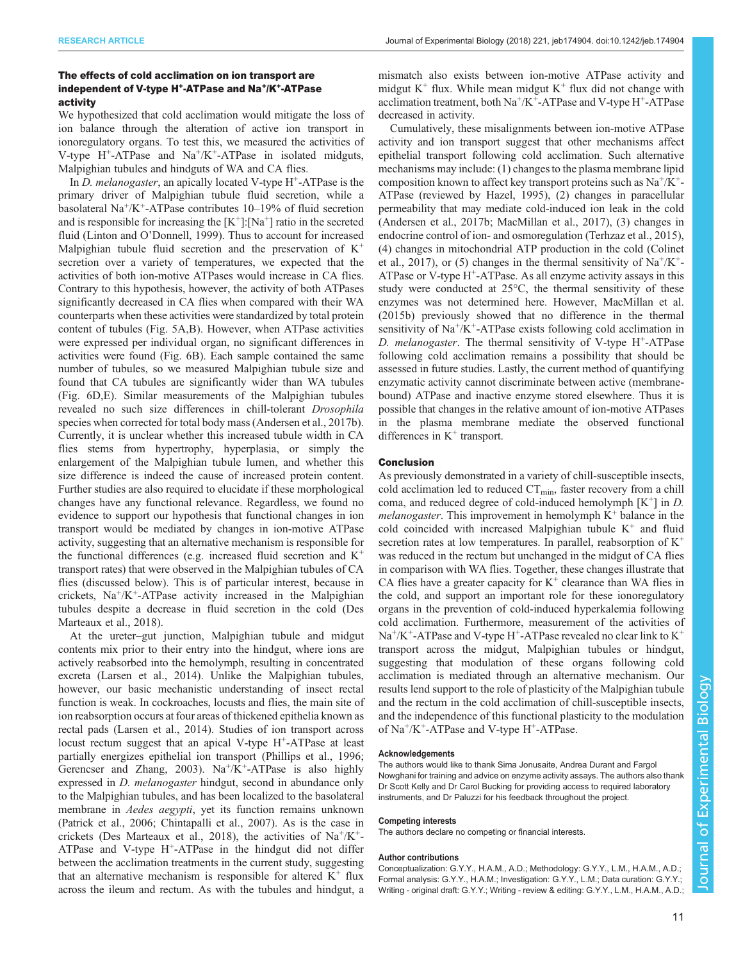## The effects of cold acclimation on ion transport are independent of V-type H<sup>+</sup>-ATPase and Na<sup>+</sup>/K<sup>+</sup>-ATPase activity

We hypothesized that cold acclimation would mitigate the loss of ion balance through the alteration of active ion transport in ionoregulatory organs. To test this, we measured the activities of V-type  $H^+$ -ATPase and Na<sup>+</sup>/K<sup>+</sup>-ATPase in isolated midguts, Malpighian tubules and hindguts of WA and CA flies.

In D. melanogaster, an apically located V-type  $H^+$ -ATPase is the primary driver of Malpighian tubule fluid secretion, while a basolateral Na+/K+-ATPase contributes 10–19% of fluid secretion and is responsible for increasing the  $[K^+]$ : [Na<sup>+</sup>] ratio in the secreted fluid (Linton and O'[Donnell, 1999\)](#page-11-0). Thus to account for increased Malpighian tubule fluid secretion and the preservation of  $K^+$ secretion over a variety of temperatures, we expected that the activities of both ion-motive ATPases would increase in CA flies. Contrary to this hypothesis, however, the activity of both ATPases significantly decreased in CA flies when compared with their WA counterparts when these activities were standardized by total protein content of tubules ([Fig. 5](#page-8-0)A,B). However, when ATPase activities were expressed per individual organ, no significant differences in activities were found ([Fig. 6](#page-9-0)B). Each sample contained the same number of tubules, so we measured Malpighian tubule size and found that CA tubules are significantly wider than WA tubules [\(Fig. 6](#page-9-0)D,E). Similar measurements of the Malpighian tubules revealed no such size differences in chill-tolerant Drosophila species when corrected for total body mass [\(Andersen et al., 2017b\)](#page-11-0). Currently, it is unclear whether this increased tubule width in CA flies stems from hypertrophy, hyperplasia, or simply the enlargement of the Malpighian tubule lumen, and whether this size difference is indeed the cause of increased protein content. Further studies are also required to elucidate if these morphological changes have any functional relevance. Regardless, we found no evidence to support our hypothesis that functional changes in ion transport would be mediated by changes in ion-motive ATPase activity, suggesting that an alternative mechanism is responsible for the functional differences (e.g. increased fluid secretion and  $K^+$ transport rates) that were observed in the Malpighian tubules of CA flies (discussed below). This is of particular interest, because in crickets,  $Na^{+}/K^{+}$ -ATPase activity increased in the Malpighian tubules despite a decrease in fluid secretion in the cold [\(Des](#page-11-0) [Marteaux et al., 2018](#page-11-0)).

At the ureter–gut junction, Malpighian tubule and midgut contents mix prior to their entry into the hindgut, where ions are actively reabsorbed into the hemolymph, resulting in concentrated excreta [\(Larsen et al., 2014](#page-11-0)). Unlike the Malpighian tubules, however, our basic mechanistic understanding of insect rectal function is weak. In cockroaches, locusts and flies, the main site of ion reabsorption occurs at four areas of thickened epithelia known as rectal pads ([Larsen et al., 2014](#page-11-0)). Studies of ion transport across locust rectum suggest that an apical V-type H<sup>+</sup>-ATPase at least partially energizes epithelial ion transport ([Phillips et al., 1996](#page-12-0); [Gerencser and Zhang, 2003\)](#page-11-0).  $Na^{+}/K^{+}$ -ATPase is also highly expressed in D. melanogaster hindgut, second in abundance only to the Malpighian tubules, and has been localized to the basolateral membrane in *Aedes aegypti*, yet its function remains unknown [\(Patrick et al., 2006](#page-12-0); [Chintapalli et al., 2007](#page-11-0)). As is the case in crickets ([Des Marteaux et al., 2018](#page-11-0)), the activities of  $Na^+/K^+$ -ATPase and V-type  $H^+$ -ATPase in the hindgut did not differ between the acclimation treatments in the current study, suggesting that an alternative mechanism is responsible for altered  $K^+$  flux across the ileum and rectum. As with the tubules and hindgut, a

mismatch also exists between ion-motive ATPase activity and midgut  $K^+$  flux. While mean midgut  $K^+$  flux did not change with acclimation treatment, both  $Na^+/K^+$ -ATPase and V-type  $H^+$ -ATPase decreased in activity.

Cumulatively, these misalignments between ion-motive ATPase activity and ion transport suggest that other mechanisms affect epithelial transport following cold acclimation. Such alternative mechanisms may include: (1) changes to the plasma membrane lipid composition known to affect key transport proteins such as  $Na^+/K^+$ -ATPase (reviewed by [Hazel, 1995](#page-11-0)), (2) changes in paracellular permeability that may mediate cold-induced ion leak in the cold [\(Andersen et al., 2017b; MacMillan et al., 2017](#page-11-0)), (3) changes in endocrine control of ion- and osmoregulation ([Terhzaz et al., 2015\)](#page-12-0), (4) changes in mitochondrial ATP production in the cold [\(Colinet](#page-11-0) [et al., 2017\)](#page-11-0), or (5) changes in the thermal sensitivity of  $Na^{+}/K^{+}$ -ATPase or V-type  $H^+$ -ATPase. As all enzyme activity assays in this study were conducted at 25°C, the thermal sensitivity of these enzymes was not determined here. However, MacMillan et al. (2015b) previously showed that no difference in the thermal sensitivity of  $Na^+/K^+$ -ATPase exists following cold acclimation in D. melanogaster. The thermal sensitivity of V-type  $H^+$ -ATPase following cold acclimation remains a possibility that should be assessed in future studies. Lastly, the current method of quantifying enzymatic activity cannot discriminate between active (membranebound) ATPase and inactive enzyme stored elsewhere. Thus it is possible that changes in the relative amount of ion-motive ATPases in the plasma membrane mediate the observed functional differences in  $K^+$  transport.

### Conclusion

As previously demonstrated in a variety of chill-susceptible insects, cold acclimation led to reduced  $CT_{\text{min}}$ , faster recovery from a chill coma, and reduced degree of cold-induced hemolymph  $[K^+]$  in D. *melanogaster*. This improvement in hemolymph  $K^+$  balance in the cold coincided with increased Malpighian tubule  $K^+$  and fluid secretion rates at low temperatures. In parallel, reabsorption of  $K^+$ was reduced in the rectum but unchanged in the midgut of CA flies in comparison with WA flies. Together, these changes illustrate that CA flies have a greater capacity for  $K^+$  clearance than WA flies in the cold, and support an important role for these ionoregulatory organs in the prevention of cold-induced hyperkalemia following cold acclimation. Furthermore, measurement of the activities of  $Na<sup>+</sup>/K<sup>+</sup>-ATPase$  and V-type H<sup>+</sup>-ATPase revealed no clear link to  $K<sup>+</sup>$ transport across the midgut, Malpighian tubules or hindgut, suggesting that modulation of these organs following cold acclimation is mediated through an alternative mechanism. Our results lend support to the role of plasticity of the Malpighian tubule and the rectum in the cold acclimation of chill-susceptible insects, and the independence of this functional plasticity to the modulation of  $Na^+/K^+$ -ATPase and V-type  $H^+$ -ATPase.

#### Acknowledgements

The authors would like to thank Sima Jonusaite, Andrea Durant and Fargol Nowghani for training and advice on enzyme activity assays. The authors also thank Dr Scott Kelly and Dr Carol Bucking for providing access to required laboratory instruments, and Dr Paluzzi for his feedback throughout the project.

#### Competing interests

The authors declare no competing or financial interests.

#### Author contributions

Conceptualization: G.Y.Y., H.A.M., A.D.; Methodology: G.Y.Y., L.M., H.A.M., A.D.; Formal analysis: G.Y.Y., H.A.M.; Investigation: G.Y.Y., L.M.; Data curation: G.Y.Y.; Writing - original draft: G.Y.Y.; Writing - review & editing: G.Y.Y., L.M., H.A.M., A.D.;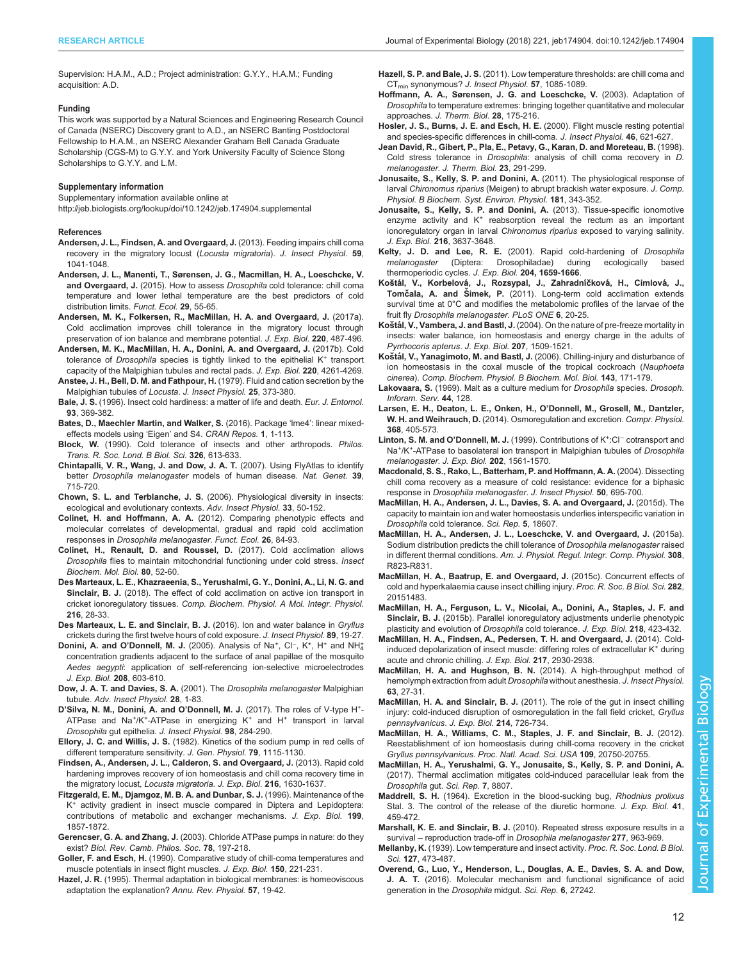<span id="page-11-0"></span>Supervision: H.A.M., A.D.; Project administration: G.Y.Y., H.A.M.; Funding acquisition: A.D.

#### Funding

This work was supported by a Natural Sciences and Engineering Research Council of Canada (NSERC) Discovery grant to A.D., an NSERC Banting Postdoctoral Fellowship to H.A.M., an NSERC Alexander Graham Bell Canada Graduate Scholarship (CGS-M) to G.Y.Y. and York University Faculty of Science Stong Scholarships to G.Y.Y. and L.M.

#### Supplementary information

Supplementary information available online at

<http://jeb.biologists.org/lookup/doi/10.1242/jeb.174904.supplemental>

#### References

- [Andersen, J. L., Findsen, A. and Overgaard, J.](http://dx.doi.org/10.1016/j.jinsphys.2013.07.008) (2013). Feeding impairs chill coma [recovery in the migratory locust \(](http://dx.doi.org/10.1016/j.jinsphys.2013.07.008)Locusta migratoria). J. Insect Physiol. 59, [1041-1048.](http://dx.doi.org/10.1016/j.jinsphys.2013.07.008)
- [Andersen, J. L., Manenti, T., Sørensen, J. G., Macmillan, H. A., Loeschcke, V.](http://dx.doi.org/10.1111/1365-2435.12310) and Overgaard, J. (2015). How to assess Drosophila [cold tolerance: chill coma](http://dx.doi.org/10.1111/1365-2435.12310) [temperature and lower lethal temperature are the best predictors of cold](http://dx.doi.org/10.1111/1365-2435.12310) [distribution limits.](http://dx.doi.org/10.1111/1365-2435.12310) Funct. Ecol. 29, 55-65.
- [Andersen, M. K., Folkersen, R., MacMillan, H. A. and Overgaard, J.](http://dx.doi.org/10.1242/jeb.150813) (2017a). [Cold acclimation improves chill tolerance in the migratory locust through](http://dx.doi.org/10.1242/jeb.150813) [preservation of ion balance and membrane potential.](http://dx.doi.org/10.1242/jeb.150813) J. Exp. Biol. 220, 487-496.
- [Andersen, M. K., MacMillan, H. A., Donini, A. and Overgaard, J.](http://dx.doi.org/10.1242/jeb.168518) (2017b). Cold tolerance of Drosophila [species](http://dx.doi.org/10.1242/jeb.168518) [is](http://dx.doi.org/10.1242/jeb.168518) [tightly](http://dx.doi.org/10.1242/jeb.168518) [linked](http://dx.doi.org/10.1242/jeb.168518) [to](http://dx.doi.org/10.1242/jeb.168518) [the](http://dx.doi.org/10.1242/jeb.168518) [epithelial](http://dx.doi.org/10.1242/jeb.168518)  $K^+$  [transport](http://dx.doi.org/10.1242/jeb.168518) [capacity of the Malpighian tubules and rectal pads.](http://dx.doi.org/10.1242/jeb.168518) J. Exp. Biol. 220, 4261-4269. [Anstee, J. H., Bell, D. M. and Fathpour, H.](http://dx.doi.org/10.1016/0022-1910(79)90002-7) (1979). Fluid and cation secretion by the
- [Malpighian tubules of](http://dx.doi.org/10.1016/0022-1910(79)90002-7) Locusta. J. Insect Physiol. 25, 373-380. Bale, J. S. (1996). Insect cold hardiness: a matter of life and death. Eur. J. Entomol.
- 93, 369-382.
- Bates, D., Maechler Martin, and Walker, S. (2016). Package 'Ime4': linear mixedeffects models using 'Eigen' and S4. CRAN Repos. 1, 1-113.
- Block, W. [\(1990\). Cold tolerance of insects and other arthropods.](http://dx.doi.org/10.1098/rstb.1990.0035) Philos. [Trans. R. Soc. Lond. B Biol. Sci.](http://dx.doi.org/10.1098/rstb.1990.0035) 326, 613-633.
- [Chintapalli, V. R., Wang, J. and Dow, J. A. T.](http://dx.doi.org/10.1038/ng2049) (2007). Using FlyAtlas to identify better Drosophila melanogaster [models of human disease.](http://dx.doi.org/10.1038/ng2049) Nat. Genet. 39, [715-720.](http://dx.doi.org/10.1038/ng2049)
- Chown, S. L. and Terblanche, J. S. [\(2006\). Physiological diversity in insects:](http://dx.doi.org/10.1016/S0065-2806(06)33002-0) [ecological and evolutionary contexts.](http://dx.doi.org/10.1016/S0065-2806(06)33002-0) Adv. Insect Physiol. 33, 50-152.
- Colinet, H. and Hoffmann, A. A. [\(2012\). Comparing phenotypic effects and](http://dx.doi.org/10.1111/j.1365-2435.2011.01898.x) [molecular correlates of developmental, gradual and rapid cold acclimation](http://dx.doi.org/10.1111/j.1365-2435.2011.01898.x) responses in [Drosophila melanogaster](http://dx.doi.org/10.1111/j.1365-2435.2011.01898.x). Funct. Ecol. 26, 84-93.
- [Colinet, H., Renault, D. and Roussel, D.](http://dx.doi.org/10.1016/j.ibmb.2016.11.007) (2017). Cold acclimation allows Drosophila [flies to maintain mitochondrial functioning under cold stress.](http://dx.doi.org/10.1016/j.ibmb.2016.11.007) Insect [Biochem. Mol. Biol.](http://dx.doi.org/10.1016/j.ibmb.2016.11.007) 80, 52-60.
- [Des Marteaux, L. E., Khazraeenia, S., Yerushalmi, G. Y., Donini, A., Li, N. G. and](http://dx.doi.org/10.1016/j.cbpa.2017.11.005) Sinclair, B. J. [\(2018\). The effect of cold acclimation on active ion transport in](http://dx.doi.org/10.1016/j.cbpa.2017.11.005) cricket ionoregulatory tissues. [Comp. Biochem. Physiol. A Mol. Integr. Physiol.](http://dx.doi.org/10.1016/j.cbpa.2017.11.005) 216[, 28-33.](http://dx.doi.org/10.1016/j.cbpa.2017.11.005)
- [Des Marteaux, L. E. and Sinclair, B. J.](http://dx.doi.org/10.1016/j.jinsphys.2016.03.007) (2016). Ion and water balance in Gryllus [crickets during the first twelve hours of cold exposure.](http://dx.doi.org/10.1016/j.jinsphys.2016.03.007) J. Insect Physiol. 89, 19-27.
- Donini, A. and O'Donnell, M. J. [\(2005\).](http://dx.doi.org/10.1242/jeb.01422) [Analysis](http://dx.doi.org/10.1242/jeb.01422) [of](http://dx.doi.org/10.1242/jeb.01422) [Na](http://dx.doi.org/10.1242/jeb.01422)<sup>+</sup>[,](http://dx.doi.org/10.1242/jeb.01422) [Cl](http://dx.doi.org/10.1242/jeb.01422)<sup>−</sup>, [K](http://dx.doi.org/10.1242/jeb.01422)<sup>[+](http://dx.doi.org/10.1242/jeb.01422)</sup>, H<sup>+</sup> and NH<sub>4</sub> [concentration gradients adjacent to the surface of anal papillae of the mosquito](http://dx.doi.org/10.1242/jeb.01422) Aedes aegypti[: application of self-referencing ion-selective microelectrodes](http://dx.doi.org/10.1242/jeb.01422) [J. Exp. Biol.](http://dx.doi.org/10.1242/jeb.01422) 208, 603-610.
- [Dow, J. A. T. and Davies, S. A.](http://dx.doi.org/10.1016/S0065-2806(01)28008-4) (2001). The Drosophila melanogaster Malpighian tubule. [Adv. Insect Physiol.](http://dx.doi.org/10.1016/S0065-2806(01)28008-4) 28, 1-83.
- D'[Silva, N. M., Donini, A. and O](http://dx.doi.org/10.1016/j.jinsphys.2017.01.019)'Donnell, M. J. (2017). The roles of V[-](http://dx.doi.org/10.1016/j.jinsphys.2017.01.019)type H<sup>+</sup>-[ATPase and Na](http://dx.doi.org/10.1016/j.jinsphys.2017.01.019)<sup>+</sup>/K<sup>+</sup>-ATPase in energizing K<sup>+</sup> [and H](http://dx.doi.org/10.1016/j.jinsphys.2017.01.019)<sup>+</sup> [transport in larval](http://dx.doi.org/10.1016/j.jinsphys.2017.01.019) Drosophila gut epithelia. [J. Insect Physiol.](http://dx.doi.org/10.1016/j.jinsphys.2017.01.019) 98, 284-290.
- Ellory, J. C. and Willis, J. S. [\(1982\). Kinetics of the sodium pump in red cells of](http://dx.doi.org/10.1085/jgp.79.6.1115) [different temperature sensitivity.](http://dx.doi.org/10.1085/jgp.79.6.1115) J. Gen. Physiol. 79, 1115-1130.
- [Findsen, A., Andersen, J. L., Calderon, S. and Overgaard, J.](http://dx.doi.org/10.1242/jeb.081141) (2013). Rapid cold [hardening improves recovery of ion homeostasis and chill coma recovery time in](http://dx.doi.org/10.1242/jeb.081141) [the migratory locust,](http://dx.doi.org/10.1242/jeb.081141) Locusta migratoria. J. Exp. Biol. 216, 1630-1637.
- Fitzgerald, E. M., Djamgoz, M. B. A. and Dunbar, S. J. (1996). Maintenance of the K<sup>+</sup> activity gradient in insect muscle compared in Diptera and Lepidoptera: contributions of metabolic and exchanger mechanisms. J. Exp. Biol. 199, 1857-1872.
- Gerencser, G. A. and Zhang, J. [\(2003\). Chloride ATPase pumps in nature: do they](http://dx.doi.org/10.1017/S146479310200605X) exist? [Biol. Rev. Camb. Philos. Soc.](http://dx.doi.org/10.1017/S146479310200605X) 78, 197-218.
- Goller, F. and Esch, H. (1990). Comparative study of chill-coma temperatures and muscle potentials in insect flight muscles. J. Exp. Biol. 150, 221-231.
- Hazel, J. R. [\(1995\). Thermal adaptation in biological membranes: is homeoviscous](http://dx.doi.org/10.1146/annurev.ph.57.030195.000315) [adaptation the explanation?](http://dx.doi.org/10.1146/annurev.ph.57.030195.000315) Annu. Rev. Physiol. 57, 19-42.

Hazell, S. P. and Bale, J. S. [\(2011\). Low temperature thresholds: are chill coma and](http://dx.doi.org/10.1016/j.jinsphys.2011.04.004) CT<sub>min</sub> synonymous? [J. Insect Physiol.](http://dx.doi.org/10.1016/j.jinsphys.2011.04.004) 57, 1085-1089.

- [Hoffmann, A. A., Sørensen, J. G. and Loeschcke, V.](http://dx.doi.org/10.1016/S0306-4565(02)00057-8) (2003). Adaptation of Drosophila [to temperature extremes: bringing together quantitative and molecular](http://dx.doi.org/10.1016/S0306-4565(02)00057-8) approaches. [J. Therm. Biol.](http://dx.doi.org/10.1016/S0306-4565(02)00057-8) 28, 175-216.
- [Hosler, J. S., Burns, J. E. and Esch, H. E.](http://dx.doi.org/10.1016/S0022-1910(99)00148-1) (2000). Flight muscle resting potential [and species-specific differences in chill-coma.](http://dx.doi.org/10.1016/S0022-1910(99)00148-1) J. Insect Physiol. 46, 621-627.
- [Jean David, R., Gibert, P., Pla, E., Petavy, G., Karan, D. and Moreteau, B.](http://dx.doi.org/10.1016/S0306-4565(98)00020-5) (1998). Cold stress tolerance in Drosophila[: analysis of chill coma recovery in](http://dx.doi.org/10.1016/S0306-4565(98)00020-5) D. melanogaster. [J. Therm. Biol.](http://dx.doi.org/10.1016/S0306-4565(98)00020-5) 23, 291-299.
- [Jonusaite, S., Kelly, S. P. and Donini, A.](http://dx.doi.org/10.1007/s00360-010-0526-2) (2011). The physiological response of larval Chironomus riparius [\(Meigen\) to abrupt brackish water exposure.](http://dx.doi.org/10.1007/s00360-010-0526-2) J. Comp. [Physiol. B Biochem. Syst. Environ. Physiol.](http://dx.doi.org/10.1007/s00360-010-0526-2) 181, 343-352.
- [Jonusaite, S., Kelly, S. P. and Donini, A.](http://dx.doi.org/10.1242/jeb.089219) (2013). Tissue-specific ionomotive [enzyme](http://dx.doi.org/10.1242/jeb.089219) [activity](http://dx.doi.org/10.1242/jeb.089219) [and](http://dx.doi.org/10.1242/jeb.089219) K<sup>+</sup> [reabsorption reveal the rectum as an important](http://dx.doi.org/10.1242/jeb.089219) [ionoregulatory organ in larval](http://dx.doi.org/10.1242/jeb.089219) Chironomus riparius exposed to varying salinity. J. Exp. Biol. 216[, 3637-3648.](http://dx.doi.org/10.1242/jeb.089219)
- Kelty, J. D. and Lee, R. E. (2001). Rapid cold-hardening of *Drosophila*<br>melanogaster (Diptera: Drosophiladae) during ecologically based (Diptera: Drosophiladae) during ecologically based thermoperiodic cycles. J. Exp. Biol. 204, 1659-1666.
- Koštál, V., Korbelová[, J., Rozsypal, J., Zahradn](http://dx.doi.org/10.1371/journal.pone.0025025)íčková, H., Cimlová, J., Tomčala, A. and Šimek, P. [\(2011\). Long-term cold acclimation extends](http://dx.doi.org/10.1371/journal.pone.0025025) [survival time at 0°C and modifies the metabolomic profiles of the larvae of the](http://dx.doi.org/10.1371/journal.pone.0025025) fruit fly [Drosophila melanogaster](http://dx.doi.org/10.1371/journal.pone.0025025). PLoS ONE 6, 20-25.
- Koštál, V., Vambera, J. and Bastl, J. [\(2004\). On the nature of pre-freeze mortality in](http://dx.doi.org/10.1242/jeb.00923) [insects: water balance, ion homeostasis and energy charge in the adults of](http://dx.doi.org/10.1242/jeb.00923) [Pyrrhocoris apterus](http://dx.doi.org/10.1242/jeb.00923). J. Exp. Biol. 207, 1509-1521.
- Koštál, V., Yanagimoto, M. and Bastl, J. [\(2006\). Chilling-injury and disturbance of](http://dx.doi.org/10.1016/j.cbpb.2005.11.005) [ion homeostasis in the coxal muscle of the tropical cockroach \(](http://dx.doi.org/10.1016/j.cbpb.2005.11.005)Nauphoeta cinerea). [Comp. Biochem. Physiol. B Biochem. Mol. Biol.](http://dx.doi.org/10.1016/j.cbpb.2005.11.005) 143, 171-179.
- Lakovaara, S. (1969). Malt as a culture medium for Drosophila species. Drosoph. Inforam. Serv. 44, 128.
- [Larsen, E. H., Deaton, L. E., Onken, H., O](http://dx.doi.org/10.1002/cphy.c130004)'Donnell, M., Grosell, M., Dantzler, W. H. and Weihrauch, D. [\(2014\). Osmoregulation and excretion.](http://dx.doi.org/10.1002/cphy.c130004) Compr. Physiol. 368[, 405-573.](http://dx.doi.org/10.1002/cphy.c130004)
- Linton, S. M. and O'Donnell, M. J. (1999). Contributions of K<sup>+</sup>:Cl<sup>−</sup> cotransport and Na<sup>+</sup>/K<sup>+</sup>-ATPase to basolateral ion transport in Malpighian tubules of Drosophila melanogaster. J. Exp. Biol. 202, 1561-1570.
- [Macdonald, S. S., Rako, L., Batterham, P. and Hoffmann, A. A.](http://dx.doi.org/10.1016/j.jinsphys.2004.05.004) (2004). Dissecting [chill coma recovery as a measure of cold resistance: evidence for a biphasic](http://dx.doi.org/10.1016/j.jinsphys.2004.05.004) response in [Drosophila melanogaster](http://dx.doi.org/10.1016/j.jinsphys.2004.05.004). J. Insect Physiol. 50, 695-700.
- [MacMillan, H. A., Andersen, J. L., Davies, S. A. and Overgaard, J.](http://dx.doi.org/10.1038/srep18607) (2015d). The [capacity to maintain ion and water homeostasis underlies interspecific variation in](http://dx.doi.org/10.1038/srep18607) Drosophila [cold tolerance.](http://dx.doi.org/10.1038/srep18607) Sci. Rep. 5, 18607.
- [MacMillan, H. A., Andersen, J. L., Loeschcke, V. and Overgaard, J.](http://dx.doi.org/10.1152/ajpregu.00465.2014) (2015a). [Sodium distribution predicts the chill tolerance of](http://dx.doi.org/10.1152/ajpregu.00465.2014) Drosophila melanogaster raised in different thermal conditions. [Am. J. Physiol. Regul. Integr. Comp. Physiol.](http://dx.doi.org/10.1152/ajpregu.00465.2014) 308, [R823-R831.](http://dx.doi.org/10.1152/ajpregu.00465.2014)
- [MacMillan, H. A., Baatrup, E. and Overgaard, J.](http://dx.doi.org/10.1098/rspb.2015.1483) (2015c). Concurrent effects of [cold and hyperkalaemia cause insect chilling injury.](http://dx.doi.org/10.1098/rspb.2015.1483) Proc. R. Soc. B Biol. Sci. 282, [20151483.](http://dx.doi.org/10.1098/rspb.2015.1483)
- [MacMillan, H. A., Ferguson, L. V., Nicolai, A., Donini, A., Staples, J. F. and](http://dx.doi.org/10.1242/jeb.115790) Sinclair, B. J. [\(2015b\). Parallel ionoregulatory adjustments underlie phenotypic](http://dx.doi.org/10.1242/jeb.115790) [plasticity and evolution of](http://dx.doi.org/10.1242/jeb.115790) Drosophila cold tolerance. J. Exp. Biol. 218, 423-432.
- [MacMillan, H. A., Findsen, A., Pedersen, T. H. and Overgaard, J.](http://dx.doi.org/10.1242/jeb.107516) (2014). Cold[induced](http://dx.doi.org/10.1242/jeb.107516) [depolarization](http://dx.doi.org/10.1242/jeb.107516) [of](http://dx.doi.org/10.1242/jeb.107516) [insect](http://dx.doi.org/10.1242/jeb.107516) [muscle:](http://dx.doi.org/10.1242/jeb.107516) [differing](http://dx.doi.org/10.1242/jeb.107516) [roles](http://dx.doi.org/10.1242/jeb.107516) of [extracellular](http://dx.doi.org/10.1242/jeb.107516) [K](http://dx.doi.org/10.1242/jeb.107516)<sup>+</sup> [during](http://dx.doi.org/10.1242/jeb.107516) [acute and chronic chilling.](http://dx.doi.org/10.1242/jeb.107516) J. Exp. Biol. 217, 2930-2938.
- [MacMillan, H. A. and Hughson, B. N.](http://dx.doi.org/10.1016/j.jinsphys.2014.02.005) (2014). A high-throughput method of [hemolymph extraction from adult](http://dx.doi.org/10.1016/j.jinsphys.2014.02.005) Drosophila without anesthesia. J. Insect Physiol. 63[, 27-31.](http://dx.doi.org/10.1016/j.jinsphys.2014.02.005)
- MacMillan, H. A. and Sinclair, B. J. [\(2011\). The role of the gut in insect chilling](http://dx.doi.org/10.1242/jeb.051540) [injury: cold-induced disruption of osmoregulation in the fall field cricket,](http://dx.doi.org/10.1242/jeb.051540) Gryllus [pennsylvanicus](http://dx.doi.org/10.1242/jeb.051540). J. Exp. Biol. 214, 726-734.
- [MacMillan, H. A., Williams, C. M., Staples, J. F. and Sinclair, B. J.](http://dx.doi.org/10.1073/pnas.1212788109) (2012). [Reestablishment of ion homeostasis during chill-coma recovery in the cricket](http://dx.doi.org/10.1073/pnas.1212788109) Gryllus pennsylvanicus. [Proc. Natl. Acad. Sci. USA](http://dx.doi.org/10.1073/pnas.1212788109) 109, 20750-20755.
- [MacMillan, H. A., Yerushalmi, G. Y., Jonusaite, S., Kelly, S. P. and Donini, A.](http://dx.doi.org/10.1038/s41598-017-08926-7) [\(2017\). Thermal acclimation mitigates cold-induced paracellular leak from the](http://dx.doi.org/10.1038/s41598-017-08926-7) [Drosophila](http://dx.doi.org/10.1038/s41598-017-08926-7) gut. Sci. Rep. 7, 8807.
- Maddrell, S. H. (1964). Excretion in the blood-sucking bug, Rhodnius prolixus Stal. 3. The control of the release of the diuretic hormone. J. Exp. Biol. 41, 459-472.
- Marshall, K. E. and Sinclair, B. J. [\(2010\). Repeated stress exposure results in a](http://dx.doi.org/10.1098/rspb.2009.1807) survival – reproduction trade-off in [Drosophila melanogaster](http://dx.doi.org/10.1098/rspb.2009.1807) 277, 963-969.
- Mellanby, K. [\(1939\). Low temperature and insect activity.](http://dx.doi.org/10.1098/rspb.1939.0035) Proc. R. Soc. Lond. B Biol. Sci. 127[, 473-487.](http://dx.doi.org/10.1098/rspb.1939.0035)
- [Overend, G., Luo, Y., Henderson, L., Douglas, A. E., Davies, S. A. and Dow,](http://dx.doi.org/10.1038/srep27242) J. A. T. [\(2016\). Molecular mechanism and functional significance of acid](http://dx.doi.org/10.1038/srep27242) [generation in the](http://dx.doi.org/10.1038/srep27242) Drosophila midgut. Sci. Rep. 6, 27242.

Biology